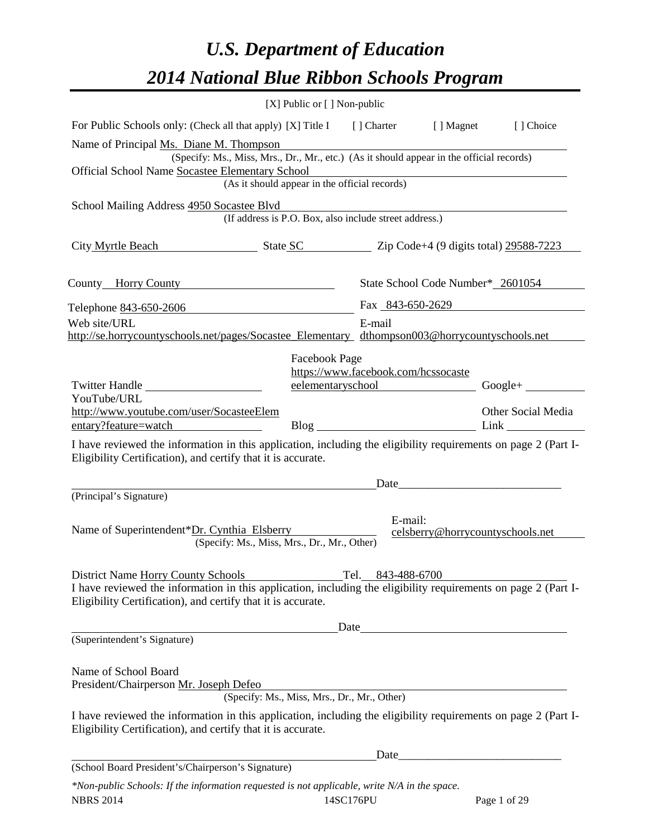# *U.S. Department of Education 2014 National Blue Ribbon Schools Program*

|                                                                                                                                                                                | [X] Public or [] Non-public                                                              |                                     |                                   |                                  |
|--------------------------------------------------------------------------------------------------------------------------------------------------------------------------------|------------------------------------------------------------------------------------------|-------------------------------------|-----------------------------------|----------------------------------|
| For Public Schools only: (Check all that apply) [X] Title I [] Charter [] Magnet [] Choice                                                                                     |                                                                                          |                                     |                                   |                                  |
| Name of Principal Ms. Diane M. Thompson<br>Official School Name Socastee Elementary School                                                                                     | (Specify: Ms., Miss, Mrs., Dr., Mr., etc.) (As it should appear in the official records) |                                     |                                   |                                  |
|                                                                                                                                                                                | (As it should appear in the official records)                                            |                                     |                                   |                                  |
| School Mailing Address 4950 Socastee Blvd                                                                                                                                      | (If address is P.O. Box, also include street address.)                                   |                                     |                                   |                                  |
|                                                                                                                                                                                |                                                                                          |                                     |                                   |                                  |
| City Myrtle Beach State SC 21p Code+4 (9 digits total) 29588-7223                                                                                                              |                                                                                          |                                     |                                   |                                  |
| County Horry County                                                                                                                                                            |                                                                                          |                                     | State School Code Number* 2601054 |                                  |
| Telephone <u>843-650-2606</u>                                                                                                                                                  |                                                                                          |                                     | Fax 843-650-2629                  |                                  |
| Web site/URL<br>http://se.horrycountyschools.net/pages/Socastee_Elementary_dthompson003@horrycountyschools.net                                                                 |                                                                                          | E-mail                              |                                   |                                  |
| Twitter Handle                                                                                                                                                                 | Facebook Page                                                                            | https://www.facebook.com/hcssocaste |                                   | eelementaryschool Google+        |
| YouTube/URL<br>http://www.youtube.com/user/SocasteeElem<br>entary?feature=watch                                                                                                |                                                                                          |                                     |                                   | Other Social Media               |
| I have reviewed the information in this application, including the eligibility requirements on page 2 (Part I-<br>Eligibility Certification), and certify that it is accurate. |                                                                                          |                                     |                                   |                                  |
|                                                                                                                                                                                |                                                                                          |                                     |                                   |                                  |
| (Principal's Signature)                                                                                                                                                        |                                                                                          |                                     |                                   |                                  |
| Name of Superintendent*Dr. Cynthia Elsberry                                                                                                                                    | (Specify: Ms., Miss, Mrs., Dr., Mr., Other)                                              | E-mail:                             |                                   | celsberry@horrycountyschools.net |
|                                                                                                                                                                                |                                                                                          |                                     |                                   |                                  |
| District Name Horry County Schools                                                                                                                                             |                                                                                          | Tel. 843-488-6700                   |                                   |                                  |
| I have reviewed the information in this application, including the eligibility requirements on page 2 (Part I-<br>Eligibility Certification), and certify that it is accurate. |                                                                                          |                                     |                                   |                                  |
|                                                                                                                                                                                |                                                                                          |                                     |                                   |                                  |
| (Superintendent's Signature)                                                                                                                                                   |                                                                                          | $\text{Date}$                       |                                   |                                  |
| Name of School Board<br>President/Chairperson Mr. Joseph Defeo                                                                                                                 | (Specify: Ms., Miss, Mrs., Dr., Mr., Other)                                              |                                     |                                   |                                  |
| I have reviewed the information in this application, including the eligibility requirements on page 2 (Part I-<br>Eligibility Certification), and certify that it is accurate. |                                                                                          |                                     |                                   |                                  |
|                                                                                                                                                                                |                                                                                          |                                     | Date                              |                                  |
| (School Board President's/Chairperson's Signature)                                                                                                                             |                                                                                          |                                     |                                   |                                  |
| *Non-public Schools: If the information requested is not applicable, write N/A in the space.                                                                                   |                                                                                          |                                     |                                   |                                  |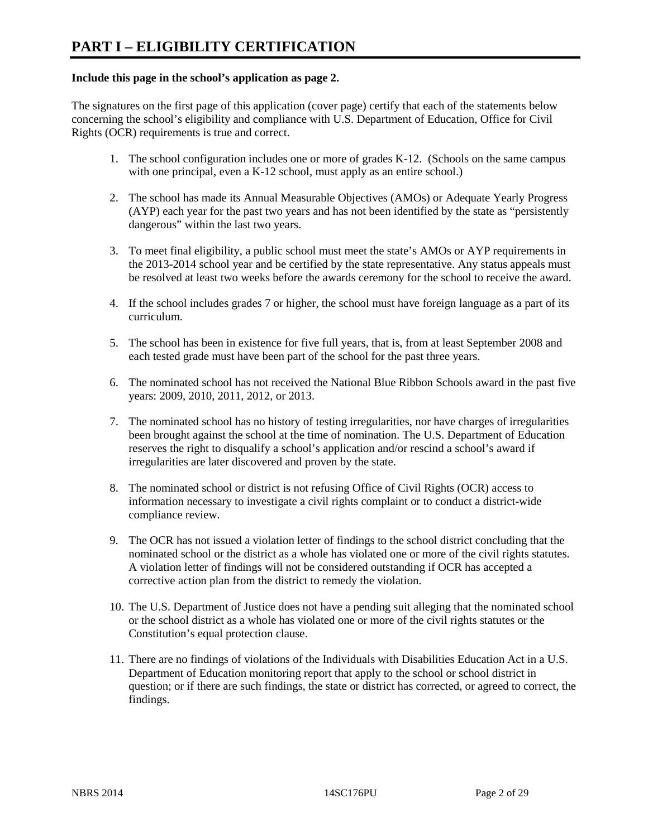### **Include this page in the school's application as page 2.**

The signatures on the first page of this application (cover page) certify that each of the statements below concerning the school's eligibility and compliance with U.S. Department of Education, Office for Civil Rights (OCR) requirements is true and correct.

- 1. The school configuration includes one or more of grades K-12. (Schools on the same campus with one principal, even a K-12 school, must apply as an entire school.)
- 2. The school has made its Annual Measurable Objectives (AMOs) or Adequate Yearly Progress (AYP) each year for the past two years and has not been identified by the state as "persistently dangerous" within the last two years.
- 3. To meet final eligibility, a public school must meet the state's AMOs or AYP requirements in the 2013-2014 school year and be certified by the state representative. Any status appeals must be resolved at least two weeks before the awards ceremony for the school to receive the award.
- 4. If the school includes grades 7 or higher, the school must have foreign language as a part of its curriculum.
- 5. The school has been in existence for five full years, that is, from at least September 2008 and each tested grade must have been part of the school for the past three years.
- 6. The nominated school has not received the National Blue Ribbon Schools award in the past five years: 2009, 2010, 2011, 2012, or 2013.
- 7. The nominated school has no history of testing irregularities, nor have charges of irregularities been brought against the school at the time of nomination. The U.S. Department of Education reserves the right to disqualify a school's application and/or rescind a school's award if irregularities are later discovered and proven by the state.
- 8. The nominated school or district is not refusing Office of Civil Rights (OCR) access to information necessary to investigate a civil rights complaint or to conduct a district-wide compliance review.
- 9. The OCR has not issued a violation letter of findings to the school district concluding that the nominated school or the district as a whole has violated one or more of the civil rights statutes. A violation letter of findings will not be considered outstanding if OCR has accepted a corrective action plan from the district to remedy the violation.
- 10. The U.S. Department of Justice does not have a pending suit alleging that the nominated school or the school district as a whole has violated one or more of the civil rights statutes or the Constitution's equal protection clause.
- 11. There are no findings of violations of the Individuals with Disabilities Education Act in a U.S. Department of Education monitoring report that apply to the school or school district in question; or if there are such findings, the state or district has corrected, or agreed to correct, the findings.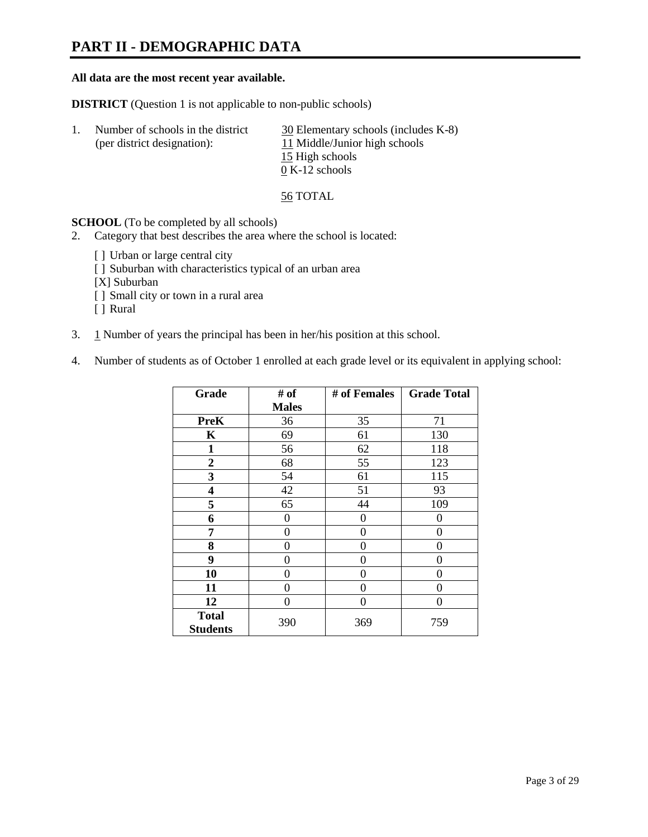## **PART II - DEMOGRAPHIC DATA**

### **All data are the most recent year available.**

**DISTRICT** (Question 1 is not applicable to non-public schools)

| 1. | Number of schools in the district<br>(per district designation): | 30 Elementary schools (includes K-8)<br>11 Middle/Junior high schools |
|----|------------------------------------------------------------------|-----------------------------------------------------------------------|
|    |                                                                  | 15 High schools                                                       |
|    |                                                                  | $0 K-12$ schools                                                      |

56 TOTAL

**SCHOOL** (To be completed by all schools)

- 2. Category that best describes the area where the school is located:
	- [] Urban or large central city
	- [ ] Suburban with characteristics typical of an urban area
	- [X] Suburban
	- [ ] Small city or town in a rural area
	- [ ] Rural
- 3. 1 Number of years the principal has been in her/his position at this school.
- 4. Number of students as of October 1 enrolled at each grade level or its equivalent in applying school:

| Grade                           | # of         | # of Females | <b>Grade Total</b> |
|---------------------------------|--------------|--------------|--------------------|
|                                 | <b>Males</b> |              |                    |
| <b>PreK</b>                     | 36           | 35           | 71                 |
| K                               | 69           | 61           | 130                |
| $\mathbf{1}$                    | 56           | 62           | 118                |
| $\mathbf{2}$                    | 68           | 55           | 123                |
| 3                               | 54           | 61           | 115                |
| 4                               | 42           | 51           | 93                 |
| 5                               | 65           | 44           | 109                |
| 6                               | 0            | 0            | $\theta$           |
| 7                               | 0            | 0            | 0                  |
| 8                               | $\theta$     | 0            | 0                  |
| 9                               | 0            | 0            | 0                  |
| 10                              | 0            | 0            | 0                  |
| 11                              | 0            | 0            | 0                  |
| 12                              | 0            | 0            | 0                  |
| <b>Total</b><br><b>Students</b> | 390          | 369          | 759                |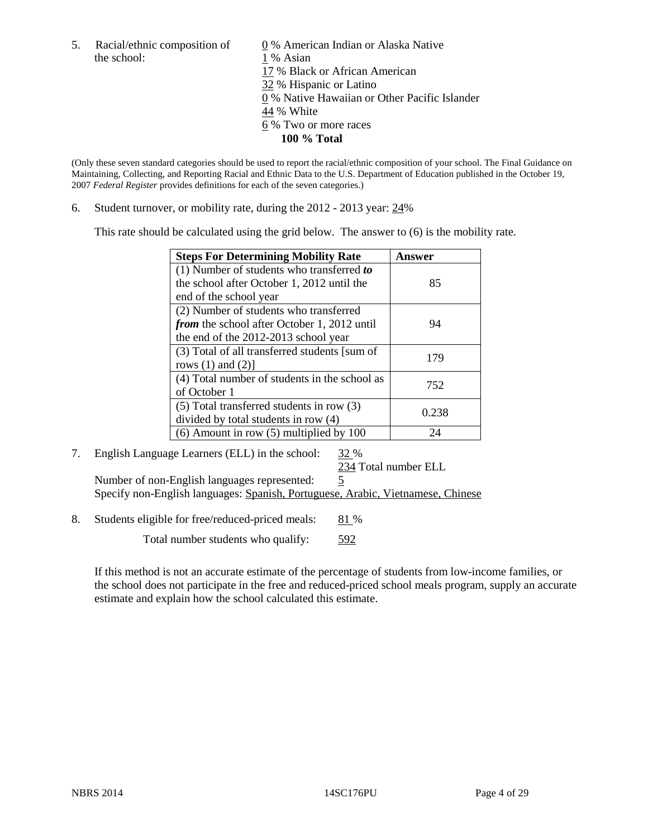the school: 1 % Asian

5. Racial/ethnic composition of  $\qquad \qquad \underline{0}$  % American Indian or Alaska Native 17 % Black or African American 32 % Hispanic or Latino 0 % Native Hawaiian or Other Pacific Islander 44 % White 6 % Two or more races **100 % Total**

(Only these seven standard categories should be used to report the racial/ethnic composition of your school. The Final Guidance on Maintaining, Collecting, and Reporting Racial and Ethnic Data to the U.S. Department of Education published in the October 19, 2007 *Federal Register* provides definitions for each of the seven categories.)

6. Student turnover, or mobility rate, during the 2012 - 2013 year: 24%

This rate should be calculated using the grid below. The answer to (6) is the mobility rate.

| <b>Steps For Determining Mobility Rate</b>         | Answer |
|----------------------------------------------------|--------|
| (1) Number of students who transferred to          |        |
| the school after October 1, 2012 until the         | 85     |
| end of the school year                             |        |
| (2) Number of students who transferred             |        |
| <i>from</i> the school after October 1, 2012 until | 94     |
| the end of the 2012-2013 school year               |        |
| (3) Total of all transferred students [sum of      | 179    |
| rows $(1)$ and $(2)$ ]                             |        |
| (4) Total number of students in the school as      | 752    |
| of October 1                                       |        |
| $(5)$ Total transferred students in row $(3)$      | 0.238  |
| divided by total students in row (4)               |        |
| $(6)$ Amount in row $(5)$ multiplied by 100        | 24     |

### 7. English Language Learners (ELL) in the school: 32 %

234 Total number ELL Number of non-English languages represented: 5

Specify non-English languages: Spanish, Portuguese, Arabic, Vietnamese, Chinese

8. Students eligible for free/reduced-priced meals: 81 %

Total number students who qualify: 592

If this method is not an accurate estimate of the percentage of students from low-income families, or the school does not participate in the free and reduced-priced school meals program, supply an accurate estimate and explain how the school calculated this estimate.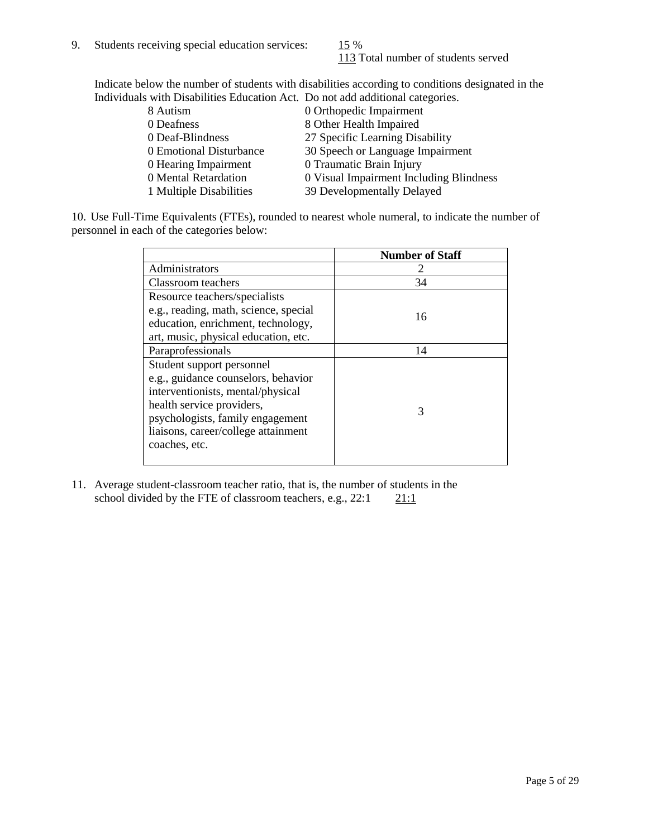113 Total number of students served

Indicate below the number of students with disabilities according to conditions designated in the Individuals with Disabilities Education Act. Do not add additional categories.

| 8 Autism                | 0 Orthopedic Impairment                 |
|-------------------------|-----------------------------------------|
| 0 Deafness              | 8 Other Health Impaired                 |
| 0 Deaf-Blindness        | 27 Specific Learning Disability         |
| 0 Emotional Disturbance | 30 Speech or Language Impairment        |
| 0 Hearing Impairment    | 0 Traumatic Brain Injury                |
| 0 Mental Retardation    | 0 Visual Impairment Including Blindness |
| 1 Multiple Disabilities | 39 Developmentally Delayed              |
|                         |                                         |

10. Use Full-Time Equivalents (FTEs), rounded to nearest whole numeral, to indicate the number of personnel in each of the categories below:

|                                       | <b>Number of Staff</b> |
|---------------------------------------|------------------------|
| Administrators                        |                        |
| Classroom teachers                    | 34                     |
| Resource teachers/specialists         |                        |
| e.g., reading, math, science, special | 16                     |
| education, enrichment, technology,    |                        |
| art, music, physical education, etc.  |                        |
| Paraprofessionals                     | 14                     |
| Student support personnel             |                        |
| e.g., guidance counselors, behavior   |                        |
| interventionists, mental/physical     |                        |
| health service providers,             | 3                      |
| psychologists, family engagement      |                        |
| liaisons, career/college attainment   |                        |
| coaches, etc.                         |                        |
|                                       |                        |

11. Average student-classroom teacher ratio, that is, the number of students in the school divided by the FTE of classroom teachers, e.g.,  $22:1$  21:1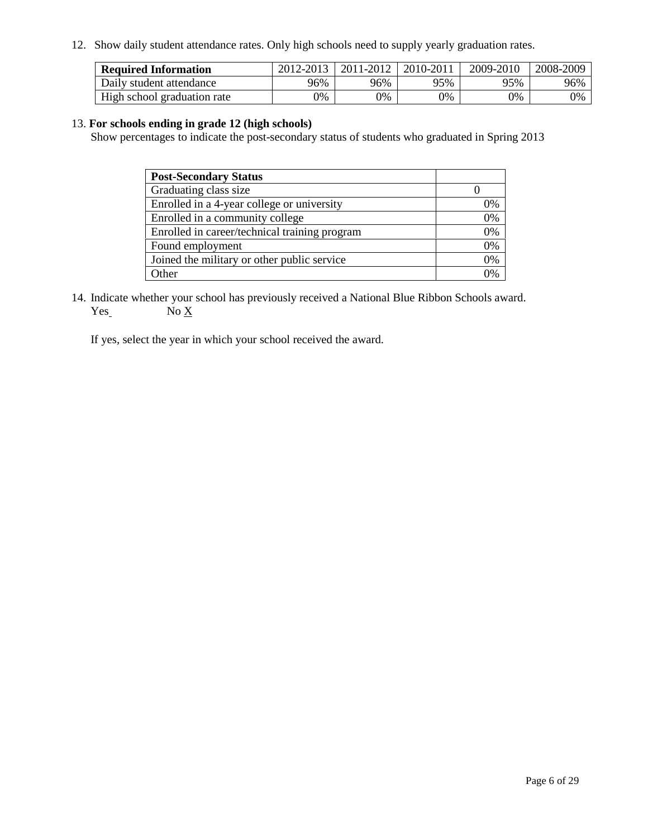12. Show daily student attendance rates. Only high schools need to supply yearly graduation rates.

| <b>Required Information</b> | 2012-2013 | 2011-2012 | 2010-2011 | 2009-2010 | 2008-2009 |
|-----------------------------|-----------|-----------|-----------|-----------|-----------|
| Daily student attendance    | 96%       | 96%       | 95%       | 95%       | 96%       |
| High school graduation rate | 0%        | 0%        | 0%        | 0%        | 0%        |

### 13. **For schools ending in grade 12 (high schools)**

Show percentages to indicate the post-secondary status of students who graduated in Spring 2013

| <b>Post-Secondary Status</b>                  |    |
|-----------------------------------------------|----|
| Graduating class size                         |    |
| Enrolled in a 4-year college or university    | 0% |
| Enrolled in a community college               | 0% |
| Enrolled in career/technical training program | 0% |
| Found employment                              | 0% |
| Joined the military or other public service   | 0% |
| <b>)</b> ther                                 | 2% |

14. Indicate whether your school has previously received a National Blue Ribbon Schools award.  $Yes$  No  $X$ 

If yes, select the year in which your school received the award.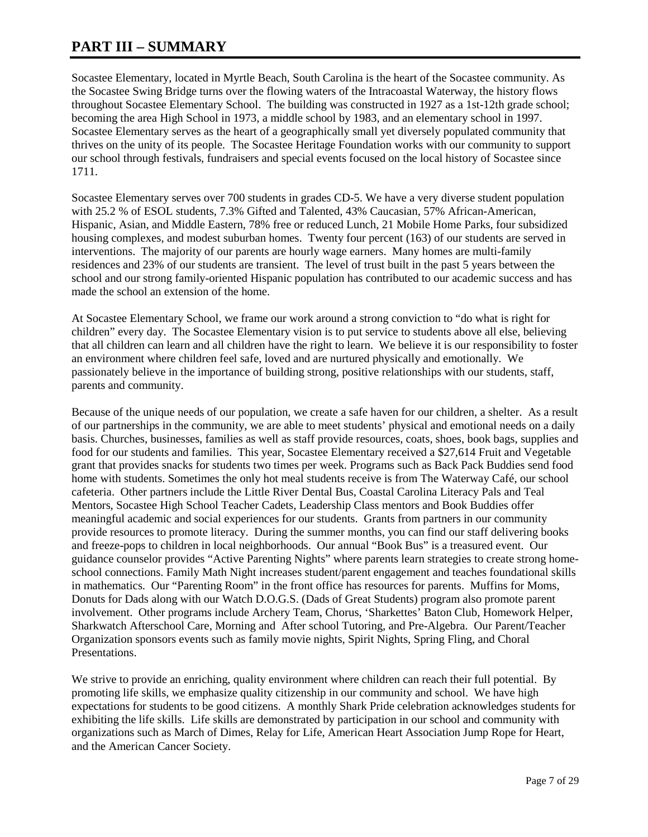## **PART III – SUMMARY**

Socastee Elementary, located in Myrtle Beach, South Carolina is the heart of the Socastee community. As the Socastee Swing Bridge turns over the flowing waters of the Intracoastal Waterway, the history flows throughout Socastee Elementary School. The building was constructed in 1927 as a 1st-12th grade school; becoming the area High School in 1973, a middle school by 1983, and an elementary school in 1997. Socastee Elementary serves as the heart of a geographically small yet diversely populated community that thrives on the unity of its people. The Socastee Heritage Foundation works with our community to support our school through festivals, fundraisers and special events focused on the local history of Socastee since 1711.

Socastee Elementary serves over 700 students in grades CD-5. We have a very diverse student population with 25.2 % of ESOL students, 7.3% Gifted and Talented, 43% Caucasian, 57% African-American, Hispanic, Asian, and Middle Eastern, 78% free or reduced Lunch, 21 Mobile Home Parks, four subsidized housing complexes, and modest suburban homes. Twenty four percent (163) of our students are served in interventions. The majority of our parents are hourly wage earners. Many homes are multi-family residences and 23% of our students are transient. The level of trust built in the past 5 years between the school and our strong family-oriented Hispanic population has contributed to our academic success and has made the school an extension of the home.

At Socastee Elementary School, we frame our work around a strong conviction to "do what is right for children" every day. The Socastee Elementary vision is to put service to students above all else, believing that all children can learn and all children have the right to learn. We believe it is our responsibility to foster an environment where children feel safe, loved and are nurtured physically and emotionally. We passionately believe in the importance of building strong, positive relationships with our students, staff, parents and community.

Because of the unique needs of our population, we create a safe haven for our children, a shelter. As a result of our partnerships in the community, we are able to meet students' physical and emotional needs on a daily basis. Churches, businesses, families as well as staff provide resources, coats, shoes, book bags, supplies and food for our students and families. This year, Socastee Elementary received a \$27,614 Fruit and Vegetable grant that provides snacks for students two times per week. Programs such as Back Pack Buddies send food home with students. Sometimes the only hot meal students receive is from The Waterway Café, our school cafeteria. Other partners include the Little River Dental Bus, Coastal Carolina Literacy Pals and Teal Mentors, Socastee High School Teacher Cadets, Leadership Class mentors and Book Buddies offer meaningful academic and social experiences for our students. Grants from partners in our community provide resources to promote literacy. During the summer months, you can find our staff delivering books and freeze-pops to children in local neighborhoods. Our annual "Book Bus" is a treasured event. Our guidance counselor provides "Active Parenting Nights" where parents learn strategies to create strong homeschool connections. Family Math Night increases student/parent engagement and teaches foundational skills in mathematics. Our "Parenting Room" in the front office has resources for parents. Muffins for Moms, Donuts for Dads along with our Watch D.O.G.S. (Dads of Great Students) program also promote parent involvement. Other programs include Archery Team, Chorus, 'Sharkettes' Baton Club, Homework Helper, Sharkwatch Afterschool Care, Morning and After school Tutoring, and Pre-Algebra. Our Parent/Teacher Organization sponsors events such as family movie nights, Spirit Nights, Spring Fling, and Choral Presentations.

We strive to provide an enriching, quality environment where children can reach their full potential. By promoting life skills, we emphasize quality citizenship in our community and school. We have high expectations for students to be good citizens. A monthly Shark Pride celebration acknowledges students for exhibiting the life skills. Life skills are demonstrated by participation in our school and community with organizations such as March of Dimes, Relay for Life, American Heart Association Jump Rope for Heart, and the American Cancer Society.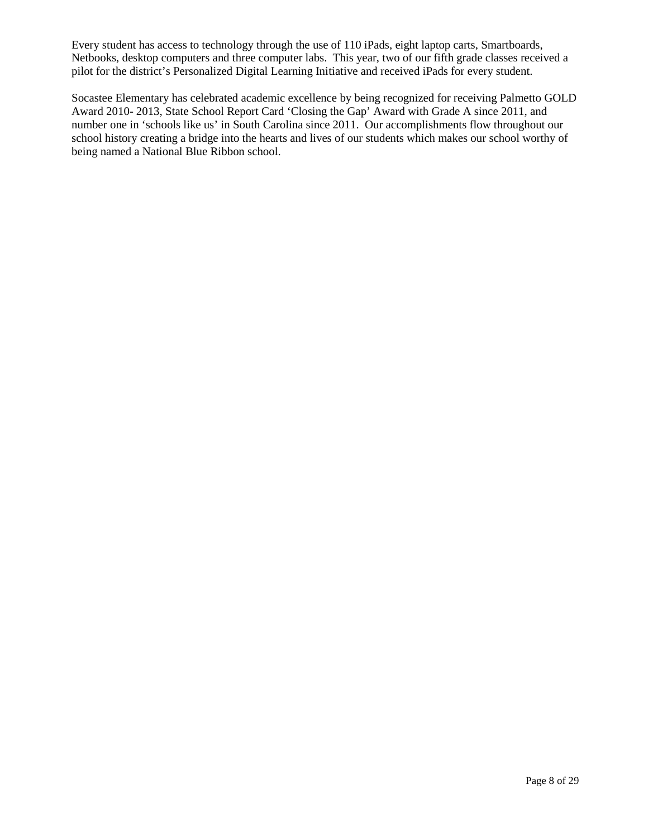Every student has access to technology through the use of 110 iPads, eight laptop carts, Smartboards, Netbooks, desktop computers and three computer labs. This year, two of our fifth grade classes received a pilot for the district's Personalized Digital Learning Initiative and received iPads for every student.

Socastee Elementary has celebrated academic excellence by being recognized for receiving Palmetto GOLD Award 2010- 2013, State School Report Card 'Closing the Gap' Award with Grade A since 2011, and number one in 'schools like us' in South Carolina since 2011. Our accomplishments flow throughout our school history creating a bridge into the hearts and lives of our students which makes our school worthy of being named a National Blue Ribbon school.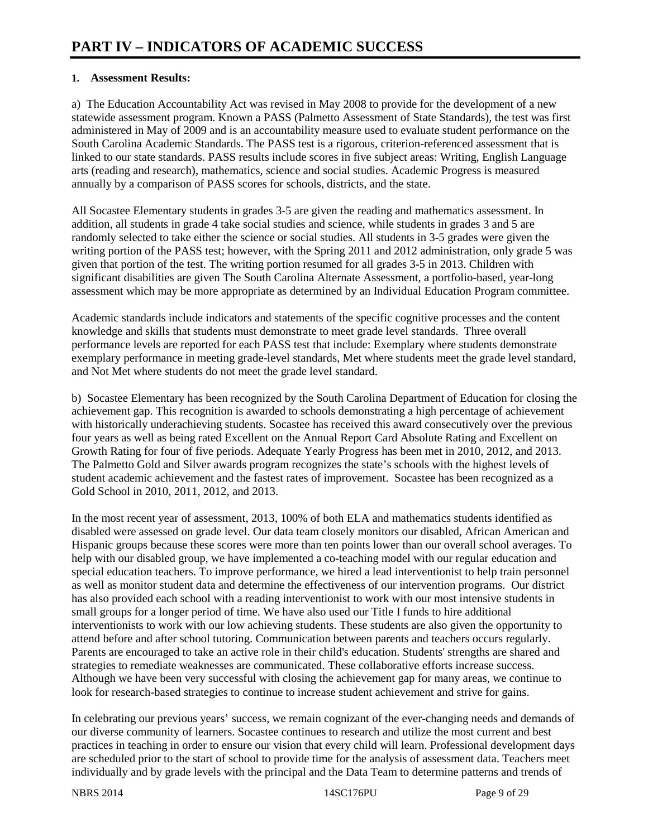### **1. Assessment Results:**

a) The Education Accountability Act was revised in May 2008 to provide for the development of a new statewide assessment program. Known a PASS (Palmetto Assessment of State Standards), the test was first administered in May of 2009 and is an accountability measure used to evaluate student performance on the South Carolina Academic Standards. The PASS test is a rigorous, criterion-referenced assessment that is linked to our state standards. PASS results include scores in five subject areas: Writing, English Language arts (reading and research), mathematics, science and social studies. Academic Progress is measured annually by a comparison of PASS scores for schools, districts, and the state.

All Socastee Elementary students in grades 3-5 are given the reading and mathematics assessment. In addition, all students in grade 4 take social studies and science, while students in grades 3 and 5 are randomly selected to take either the science or social studies. All students in 3-5 grades were given the writing portion of the PASS test; however, with the Spring 2011 and 2012 administration, only grade 5 was given that portion of the test. The writing portion resumed for all grades 3-5 in 2013. Children with significant disabilities are given The South Carolina Alternate Assessment, a portfolio-based, year-long assessment which may be more appropriate as determined by an Individual Education Program committee.

Academic standards include indicators and statements of the specific cognitive processes and the content knowledge and skills that students must demonstrate to meet grade level standards. Three overall performance levels are reported for each PASS test that include: Exemplary where students demonstrate exemplary performance in meeting grade-level standards, Met where students meet the grade level standard, and Not Met where students do not meet the grade level standard.

b) Socastee Elementary has been recognized by the South Carolina Department of Education for closing the achievement gap. This recognition is awarded to schools demonstrating a high percentage of achievement with historically underachieving students. Socastee has received this award consecutively over the previous four years as well as being rated Excellent on the Annual Report Card Absolute Rating and Excellent on Growth Rating for four of five periods. Adequate Yearly Progress has been met in 2010, 2012, and 2013. The Palmetto Gold and Silver awards program recognizes the state's schools with the highest levels of student academic achievement and the fastest rates of improvement. Socastee has been recognized as a Gold School in 2010, 2011, 2012, and 2013.

In the most recent year of assessment, 2013, 100% of both ELA and mathematics students identified as disabled were assessed on grade level. Our data team closely monitors our disabled, African American and Hispanic groups because these scores were more than ten points lower than our overall school averages. To help with our disabled group, we have implemented a co-teaching model with our regular education and special education teachers. To improve performance, we hired a lead interventionist to help train personnel as well as monitor student data and determine the effectiveness of our intervention programs. Our district has also provided each school with a reading interventionist to work with our most intensive students in small groups for a longer period of time. We have also used our Title I funds to hire additional interventionists to work with our low achieving students. These students are also given the opportunity to attend before and after school tutoring. Communication between parents and teachers occurs regularly. Parents are encouraged to take an active role in their child's education. Students' strengths are shared and strategies to remediate weaknesses are communicated. These collaborative efforts increase success. Although we have been very successful with closing the achievement gap for many areas, we continue to look for research-based strategies to continue to increase student achievement and strive for gains.

In celebrating our previous years' success, we remain cognizant of the ever-changing needs and demands of our diverse community of learners. Socastee continues to research and utilize the most current and best practices in teaching in order to ensure our vision that every child will learn. Professional development days are scheduled prior to the start of school to provide time for the analysis of assessment data. Teachers meet individually and by grade levels with the principal and the Data Team to determine patterns and trends of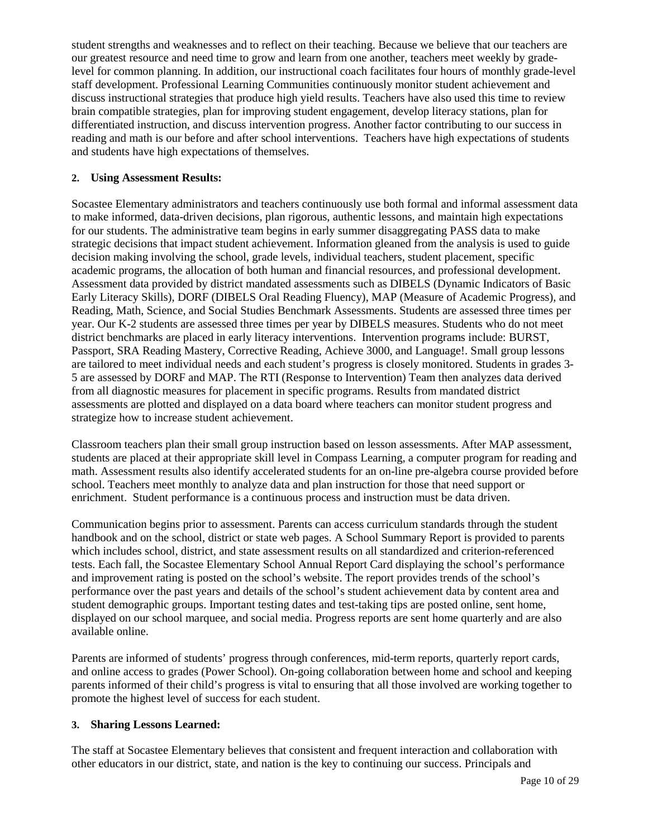student strengths and weaknesses and to reflect on their teaching. Because we believe that our teachers are our greatest resource and need time to grow and learn from one another, teachers meet weekly by gradelevel for common planning. In addition, our instructional coach facilitates four hours of monthly grade-level staff development. Professional Learning Communities continuously monitor student achievement and discuss instructional strategies that produce high yield results. Teachers have also used this time to review brain compatible strategies, plan for improving student engagement, develop literacy stations, plan for differentiated instruction, and discuss intervention progress. Another factor contributing to our success in reading and math is our before and after school interventions. Teachers have high expectations of students and students have high expectations of themselves.

### **2. Using Assessment Results:**

Socastee Elementary administrators and teachers continuously use both formal and informal assessment data to make informed, data-driven decisions, plan rigorous, authentic lessons, and maintain high expectations for our students. The administrative team begins in early summer disaggregating PASS data to make strategic decisions that impact student achievement. Information gleaned from the analysis is used to guide decision making involving the school, grade levels, individual teachers, student placement, specific academic programs, the allocation of both human and financial resources, and professional development. Assessment data provided by district mandated assessments such as DIBELS (Dynamic Indicators of Basic Early Literacy Skills), DORF (DIBELS Oral Reading Fluency), MAP (Measure of Academic Progress), and Reading, Math, Science, and Social Studies Benchmark Assessments. Students are assessed three times per year. Our K-2 students are assessed three times per year by DIBELS measures. Students who do not meet district benchmarks are placed in early literacy interventions. Intervention programs include: BURST, Passport, SRA Reading Mastery, Corrective Reading, Achieve 3000, and Language!. Small group lessons are tailored to meet individual needs and each student's progress is closely monitored. Students in grades 3- 5 are assessed by DORF and MAP. The RTI (Response to Intervention) Team then analyzes data derived from all diagnostic measures for placement in specific programs. Results from mandated district assessments are plotted and displayed on a data board where teachers can monitor student progress and strategize how to increase student achievement.

Classroom teachers plan their small group instruction based on lesson assessments. After MAP assessment, students are placed at their appropriate skill level in Compass Learning, a computer program for reading and math. Assessment results also identify accelerated students for an on-line pre-algebra course provided before school. Teachers meet monthly to analyze data and plan instruction for those that need support or enrichment. Student performance is a continuous process and instruction must be data driven.

Communication begins prior to assessment. Parents can access curriculum standards through the student handbook and on the school, district or state web pages. A School Summary Report is provided to parents which includes school, district, and state assessment results on all standardized and criterion-referenced tests. Each fall, the Socastee Elementary School Annual Report Card displaying the school's performance and improvement rating is posted on the school's website. The report provides trends of the school's performance over the past years and details of the school's student achievement data by content area and student demographic groups. Important testing dates and test-taking tips are posted online, sent home, displayed on our school marquee, and social media. Progress reports are sent home quarterly and are also available online.

Parents are informed of students' progress through conferences, mid-term reports, quarterly report cards, and online access to grades (Power School). On-going collaboration between home and school and keeping parents informed of their child's progress is vital to ensuring that all those involved are working together to promote the highest level of success for each student.

### **3. Sharing Lessons Learned:**

The staff at Socastee Elementary believes that consistent and frequent interaction and collaboration with other educators in our district, state, and nation is the key to continuing our success. Principals and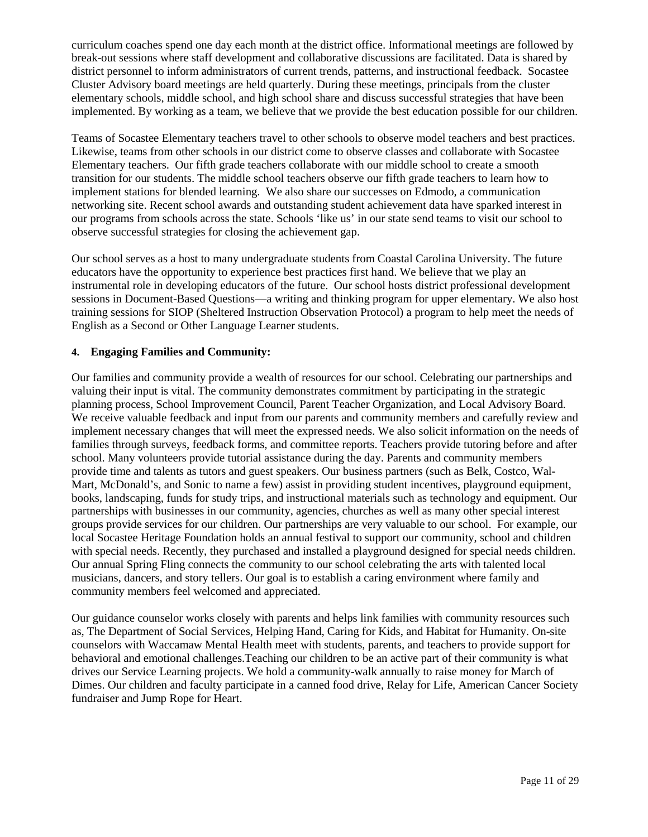curriculum coaches spend one day each month at the district office. Informational meetings are followed by break-out sessions where staff development and collaborative discussions are facilitated. Data is shared by district personnel to inform administrators of current trends, patterns, and instructional feedback. Socastee Cluster Advisory board meetings are held quarterly. During these meetings, principals from the cluster elementary schools, middle school, and high school share and discuss successful strategies that have been implemented. By working as a team, we believe that we provide the best education possible for our children.

Teams of Socastee Elementary teachers travel to other schools to observe model teachers and best practices. Likewise, teams from other schools in our district come to observe classes and collaborate with Socastee Elementary teachers. Our fifth grade teachers collaborate with our middle school to create a smooth transition for our students. The middle school teachers observe our fifth grade teachers to learn how to implement stations for blended learning. We also share our successes on Edmodo, a communication networking site. Recent school awards and outstanding student achievement data have sparked interest in our programs from schools across the state. Schools 'like us' in our state send teams to visit our school to observe successful strategies for closing the achievement gap.

Our school serves as a host to many undergraduate students from Coastal Carolina University. The future educators have the opportunity to experience best practices first hand. We believe that we play an instrumental role in developing educators of the future. Our school hosts district professional development sessions in Document-Based Questions—a writing and thinking program for upper elementary. We also host training sessions for SIOP (Sheltered Instruction Observation Protocol) a program to help meet the needs of English as a Second or Other Language Learner students.

### **4. Engaging Families and Community:**

Our families and community provide a wealth of resources for our school. Celebrating our partnerships and valuing their input is vital. The community demonstrates commitment by participating in the strategic planning process, School Improvement Council, Parent Teacher Organization, and Local Advisory Board. We receive valuable feedback and input from our parents and community members and carefully review and implement necessary changes that will meet the expressed needs. We also solicit information on the needs of families through surveys, feedback forms, and committee reports. Teachers provide tutoring before and after school. Many volunteers provide tutorial assistance during the day. Parents and community members provide time and talents as tutors and guest speakers. Our business partners (such as Belk, Costco, Wal-Mart, McDonald's, and Sonic to name a few) assist in providing student incentives, playground equipment, books, landscaping, funds for study trips, and instructional materials such as technology and equipment. Our partnerships with businesses in our community, agencies, churches as well as many other special interest groups provide services for our children. Our partnerships are very valuable to our school. For example, our local Socastee Heritage Foundation holds an annual festival to support our community, school and children with special needs. Recently, they purchased and installed a playground designed for special needs children. Our annual Spring Fling connects the community to our school celebrating the arts with talented local musicians, dancers, and story tellers. Our goal is to establish a caring environment where family and community members feel welcomed and appreciated.

Our guidance counselor works closely with parents and helps link families with community resources such as, The Department of Social Services, Helping Hand, Caring for Kids, and Habitat for Humanity. On-site counselors with Waccamaw Mental Health meet with students, parents, and teachers to provide support for behavioral and emotional challenges.Teaching our children to be an active part of their community is what drives our Service Learning projects. We hold a community-walk annually to raise money for March of Dimes. Our children and faculty participate in a canned food drive, Relay for Life, American Cancer Society fundraiser and Jump Rope for Heart.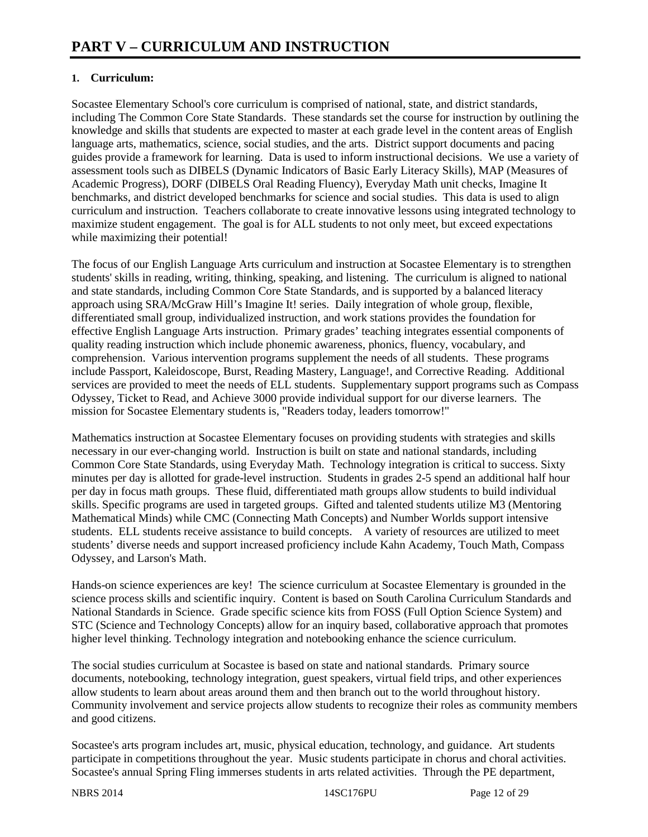### **1. Curriculum:**

Socastee Elementary School's core curriculum is comprised of national, state, and district standards, including The Common Core State Standards. These standards set the course for instruction by outlining the knowledge and skills that students are expected to master at each grade level in the content areas of English language arts, mathematics, science, social studies, and the arts. District support documents and pacing guides provide a framework for learning. Data is used to inform instructional decisions. We use a variety of assessment tools such as DIBELS (Dynamic Indicators of Basic Early Literacy Skills), MAP (Measures of Academic Progress), DORF (DIBELS Oral Reading Fluency), Everyday Math unit checks, Imagine It benchmarks, and district developed benchmarks for science and social studies. This data is used to align curriculum and instruction. Teachers collaborate to create innovative lessons using integrated technology to maximize student engagement. The goal is for ALL students to not only meet, but exceed expectations while maximizing their potential!

The focus of our English Language Arts curriculum and instruction at Socastee Elementary is to strengthen students' skills in reading, writing, thinking, speaking, and listening. The curriculum is aligned to national and state standards, including Common Core State Standards, and is supported by a balanced literacy approach using SRA/McGraw Hill's Imagine It! series. Daily integration of whole group, flexible, differentiated small group, individualized instruction, and work stations provides the foundation for effective English Language Arts instruction. Primary grades' teaching integrates essential components of quality reading instruction which include phonemic awareness, phonics, fluency, vocabulary, and comprehension. Various intervention programs supplement the needs of all students. These programs include Passport, Kaleidoscope, Burst, Reading Mastery, Language!, and Corrective Reading. Additional services are provided to meet the needs of ELL students. Supplementary support programs such as Compass Odyssey, Ticket to Read, and Achieve 3000 provide individual support for our diverse learners. The mission for Socastee Elementary students is, "Readers today, leaders tomorrow!"

Mathematics instruction at Socastee Elementary focuses on providing students with strategies and skills necessary in our ever-changing world. Instruction is built on state and national standards, including Common Core State Standards, using Everyday Math. Technology integration is critical to success. Sixty minutes per day is allotted for grade-level instruction. Students in grades 2-5 spend an additional half hour per day in focus math groups. These fluid, differentiated math groups allow students to build individual skills. Specific programs are used in targeted groups. Gifted and talented students utilize M3 (Mentoring Mathematical Minds) while CMC (Connecting Math Concepts) and Number Worlds support intensive students. ELL students receive assistance to build concepts. A variety of resources are utilized to meet students' diverse needs and support increased proficiency include Kahn Academy, Touch Math, Compass Odyssey, and Larson's Math.

Hands-on science experiences are key! The science curriculum at Socastee Elementary is grounded in the science process skills and scientific inquiry. Content is based on South Carolina Curriculum Standards and National Standards in Science. Grade specific science kits from FOSS (Full Option Science System) and STC (Science and Technology Concepts) allow for an inquiry based, collaborative approach that promotes higher level thinking. Technology integration and notebooking enhance the science curriculum.

The social studies curriculum at Socastee is based on state and national standards. Primary source documents, notebooking, technology integration, guest speakers, virtual field trips, and other experiences allow students to learn about areas around them and then branch out to the world throughout history. Community involvement and service projects allow students to recognize their roles as community members and good citizens.

Socastee's arts program includes art, music, physical education, technology, and guidance. Art students participate in competitions throughout the year. Music students participate in chorus and choral activities. Socastee's annual Spring Fling immerses students in arts related activities. Through the PE department,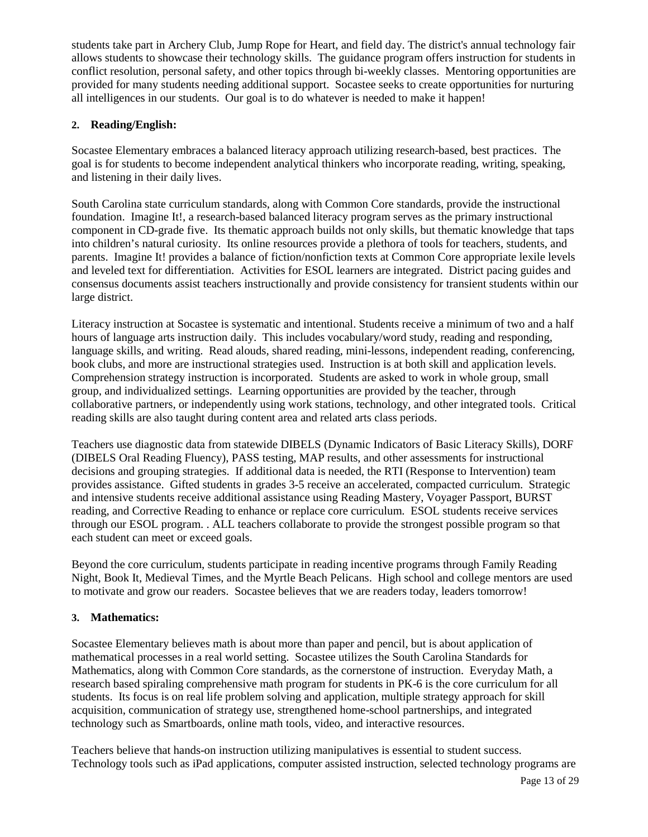students take part in Archery Club, Jump Rope for Heart, and field day. The district's annual technology fair allows students to showcase their technology skills. The guidance program offers instruction for students in conflict resolution, personal safety, and other topics through bi-weekly classes. Mentoring opportunities are provided for many students needing additional support. Socastee seeks to create opportunities for nurturing all intelligences in our students. Our goal is to do whatever is needed to make it happen!

### **2. Reading/English:**

Socastee Elementary embraces a balanced literacy approach utilizing research-based, best practices. The goal is for students to become independent analytical thinkers who incorporate reading, writing, speaking, and listening in their daily lives.

South Carolina state curriculum standards, along with Common Core standards, provide the instructional foundation. Imagine It!, a research-based balanced literacy program serves as the primary instructional component in CD-grade five. Its thematic approach builds not only skills, but thematic knowledge that taps into children's natural curiosity. Its online resources provide a plethora of tools for teachers, students, and parents. Imagine It! provides a balance of fiction/nonfiction texts at Common Core appropriate lexile levels and leveled text for differentiation. Activities for ESOL learners are integrated. District pacing guides and consensus documents assist teachers instructionally and provide consistency for transient students within our large district.

Literacy instruction at Socastee is systematic and intentional. Students receive a minimum of two and a half hours of language arts instruction daily. This includes vocabulary/word study, reading and responding, language skills, and writing. Read alouds, shared reading, mini-lessons, independent reading, conferencing, book clubs, and more are instructional strategies used. Instruction is at both skill and application levels. Comprehension strategy instruction is incorporated. Students are asked to work in whole group, small group, and individualized settings. Learning opportunities are provided by the teacher, through collaborative partners, or independently using work stations, technology, and other integrated tools. Critical reading skills are also taught during content area and related arts class periods.

Teachers use diagnostic data from statewide DIBELS (Dynamic Indicators of Basic Literacy Skills), DORF (DIBELS Oral Reading Fluency), PASS testing, MAP results, and other assessments for instructional decisions and grouping strategies. If additional data is needed, the RTI (Response to Intervention) team provides assistance. Gifted students in grades 3-5 receive an accelerated, compacted curriculum. Strategic and intensive students receive additional assistance using Reading Mastery, Voyager Passport, BURST reading, and Corrective Reading to enhance or replace core curriculum. ESOL students receive services through our ESOL program. . ALL teachers collaborate to provide the strongest possible program so that each student can meet or exceed goals.

Beyond the core curriculum, students participate in reading incentive programs through Family Reading Night, Book It, Medieval Times, and the Myrtle Beach Pelicans. High school and college mentors are used to motivate and grow our readers. Socastee believes that we are readers today, leaders tomorrow!

### **3. Mathematics:**

Socastee Elementary believes math is about more than paper and pencil, but is about application of mathematical processes in a real world setting. Socastee utilizes the South Carolina Standards for Mathematics, along with Common Core standards, as the cornerstone of instruction. Everyday Math, a research based spiraling comprehensive math program for students in PK-6 is the core curriculum for all students. Its focus is on real life problem solving and application, multiple strategy approach for skill acquisition, communication of strategy use, strengthened home-school partnerships, and integrated technology such as Smartboards, online math tools, video, and interactive resources.

Teachers believe that hands-on instruction utilizing manipulatives is essential to student success. Technology tools such as iPad applications, computer assisted instruction, selected technology programs are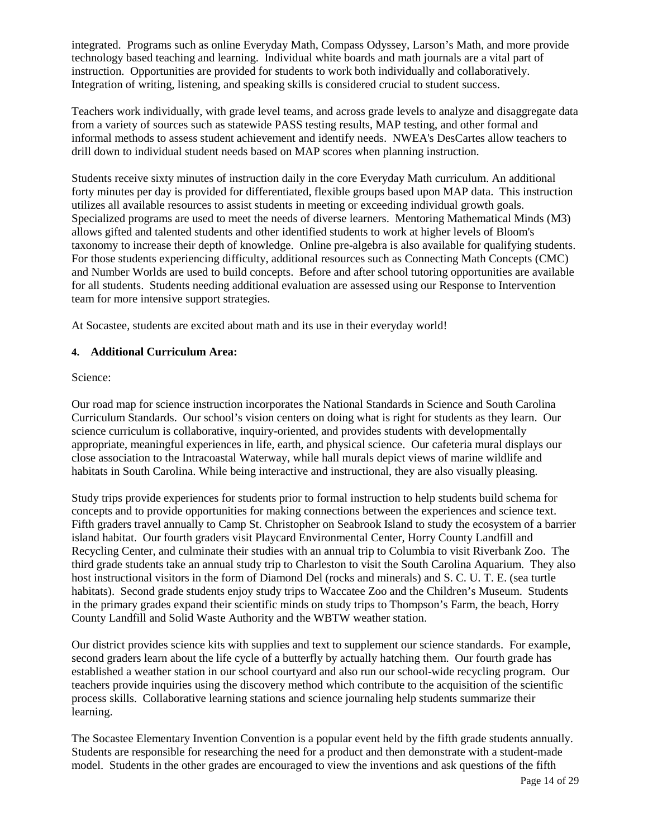integrated. Programs such as online Everyday Math, Compass Odyssey, Larson's Math, and more provide technology based teaching and learning. Individual white boards and math journals are a vital part of instruction. Opportunities are provided for students to work both individually and collaboratively. Integration of writing, listening, and speaking skills is considered crucial to student success.

Teachers work individually, with grade level teams, and across grade levels to analyze and disaggregate data from a variety of sources such as statewide PASS testing results, MAP testing, and other formal and informal methods to assess student achievement and identify needs. NWEA's DesCartes allow teachers to drill down to individual student needs based on MAP scores when planning instruction.

Students receive sixty minutes of instruction daily in the core Everyday Math curriculum. An additional forty minutes per day is provided for differentiated, flexible groups based upon MAP data. This instruction utilizes all available resources to assist students in meeting or exceeding individual growth goals. Specialized programs are used to meet the needs of diverse learners. Mentoring Mathematical Minds (M3) allows gifted and talented students and other identified students to work at higher levels of Bloom's taxonomy to increase their depth of knowledge. Online pre-algebra is also available for qualifying students. For those students experiencing difficulty, additional resources such as Connecting Math Concepts (CMC) and Number Worlds are used to build concepts. Before and after school tutoring opportunities are available for all students. Students needing additional evaluation are assessed using our Response to Intervention team for more intensive support strategies.

At Socastee, students are excited about math and its use in their everyday world!

### **4. Additional Curriculum Area:**

### Science:

Our road map for science instruction incorporates the National Standards in Science and South Carolina Curriculum Standards. Our school's vision centers on doing what is right for students as they learn. Our science curriculum is collaborative, inquiry-oriented, and provides students with developmentally appropriate, meaningful experiences in life, earth, and physical science. Our cafeteria mural displays our close association to the Intracoastal Waterway, while hall murals depict views of marine wildlife and habitats in South Carolina. While being interactive and instructional, they are also visually pleasing.

Study trips provide experiences for students prior to formal instruction to help students build schema for concepts and to provide opportunities for making connections between the experiences and science text. Fifth graders travel annually to Camp St. Christopher on Seabrook Island to study the ecosystem of a barrier island habitat. Our fourth graders visit Playcard Environmental Center, Horry County Landfill and Recycling Center, and culminate their studies with an annual trip to Columbia to visit Riverbank Zoo. The third grade students take an annual study trip to Charleston to visit the South Carolina Aquarium. They also host instructional visitors in the form of Diamond Del (rocks and minerals) and S. C. U. T. E. (sea turtle habitats). Second grade students enjoy study trips to Waccatee Zoo and the Children's Museum. Students in the primary grades expand their scientific minds on study trips to Thompson's Farm, the beach, Horry County Landfill and Solid Waste Authority and the WBTW weather station.

Our district provides science kits with supplies and text to supplement our science standards. For example, second graders learn about the life cycle of a butterfly by actually hatching them. Our fourth grade has established a weather station in our school courtyard and also run our school-wide recycling program. Our teachers provide inquiries using the discovery method which contribute to the acquisition of the scientific process skills. Collaborative learning stations and science journaling help students summarize their learning.

The Socastee Elementary Invention Convention is a popular event held by the fifth grade students annually. Students are responsible for researching the need for a product and then demonstrate with a student-made model. Students in the other grades are encouraged to view the inventions and ask questions of the fifth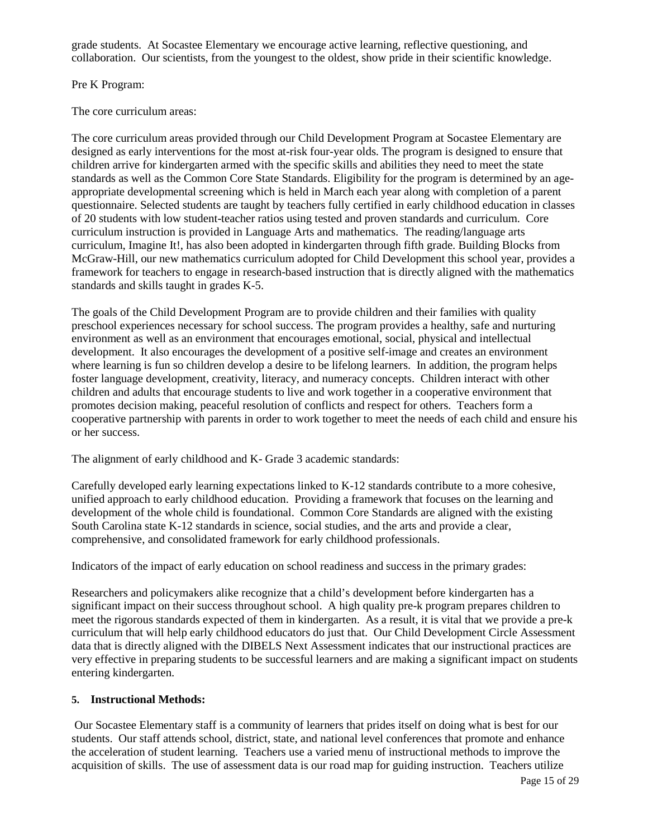grade students. At Socastee Elementary we encourage active learning, reflective questioning, and collaboration. Our scientists, from the youngest to the oldest, show pride in their scientific knowledge.

### Pre K Program:

The core curriculum areas:

The core curriculum areas provided through our Child Development Program at Socastee Elementary are designed as early interventions for the most at-risk four-year olds. The program is designed to ensure that children arrive for kindergarten armed with the specific skills and abilities they need to meet the state standards as well as the Common Core State Standards. Eligibility for the program is determined by an ageappropriate developmental screening which is held in March each year along with completion of a parent questionnaire. Selected students are taught by teachers fully certified in early childhood education in classes of 20 students with low student-teacher ratios using tested and proven standards and curriculum. Core curriculum instruction is provided in Language Arts and mathematics. The reading/language arts curriculum, Imagine It!, has also been adopted in kindergarten through fifth grade. Building Blocks from McGraw-Hill, our new mathematics curriculum adopted for Child Development this school year, provides a framework for teachers to engage in research-based instruction that is directly aligned with the mathematics standards and skills taught in grades K-5.

The goals of the Child Development Program are to provide children and their families with quality preschool experiences necessary for school success. The program provides a healthy, safe and nurturing environment as well as an environment that encourages emotional, social, physical and intellectual development. It also encourages the development of a positive self-image and creates an environment where learning is fun so children develop a desire to be lifelong learners. In addition, the program helps foster language development, creativity, literacy, and numeracy concepts. Children interact with other children and adults that encourage students to live and work together in a cooperative environment that promotes decision making, peaceful resolution of conflicts and respect for others. Teachers form a cooperative partnership with parents in order to work together to meet the needs of each child and ensure his or her success.

The alignment of early childhood and K- Grade 3 academic standards:

Carefully developed early learning expectations linked to K-12 standards contribute to a more cohesive, unified approach to early childhood education. Providing a framework that focuses on the learning and development of the whole child is foundational. Common Core Standards are aligned with the existing South Carolina state K-12 standards in science, social studies, and the arts and provide a clear, comprehensive, and consolidated framework for early childhood professionals.

Indicators of the impact of early education on school readiness and success in the primary grades:

Researchers and policymakers alike recognize that a child's development before kindergarten has a significant impact on their success throughout school. A high quality pre-k program prepares children to meet the rigorous standards expected of them in kindergarten. As a result, it is vital that we provide a pre-k curriculum that will help early childhood educators do just that. Our Child Development Circle Assessment data that is directly aligned with the DIBELS Next Assessment indicates that our instructional practices are very effective in preparing students to be successful learners and are making a significant impact on students entering kindergarten.

### **5. Instructional Methods:**

Our Socastee Elementary staff is a community of learners that prides itself on doing what is best for our students. Our staff attends school, district, state, and national level conferences that promote and enhance the acceleration of student learning. Teachers use a varied menu of instructional methods to improve the acquisition of skills. The use of assessment data is our road map for guiding instruction. Teachers utilize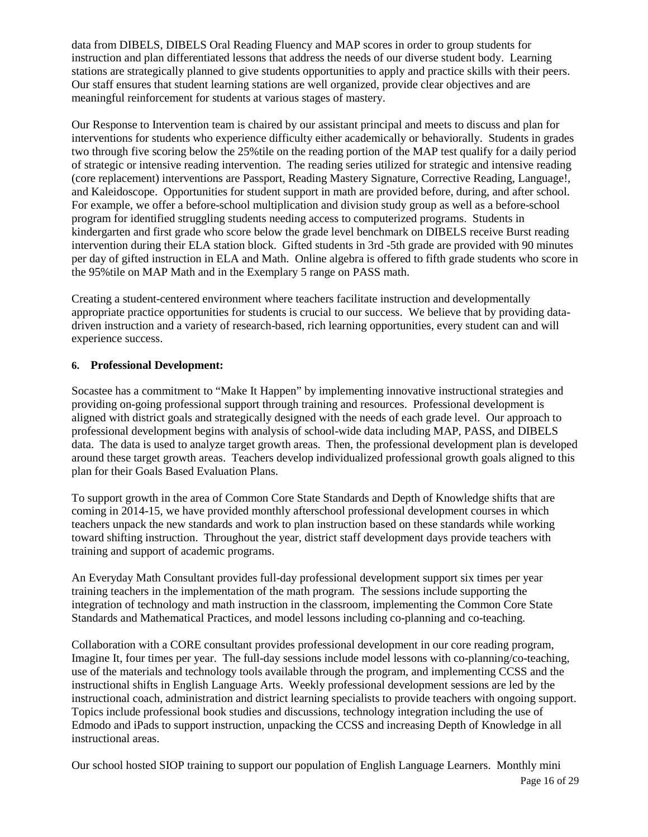data from DIBELS, DIBELS Oral Reading Fluency and MAP scores in order to group students for instruction and plan differentiated lessons that address the needs of our diverse student body. Learning stations are strategically planned to give students opportunities to apply and practice skills with their peers. Our staff ensures that student learning stations are well organized, provide clear objectives and are meaningful reinforcement for students at various stages of mastery.

Our Response to Intervention team is chaired by our assistant principal and meets to discuss and plan for interventions for students who experience difficulty either academically or behaviorally. Students in grades two through five scoring below the 25%tile on the reading portion of the MAP test qualify for a daily period of strategic or intensive reading intervention. The reading series utilized for strategic and intensive reading (core replacement) interventions are Passport, Reading Mastery Signature, Corrective Reading, Language!, and Kaleidoscope. Opportunities for student support in math are provided before, during, and after school. For example, we offer a before-school multiplication and division study group as well as a before-school program for identified struggling students needing access to computerized programs. Students in kindergarten and first grade who score below the grade level benchmark on DIBELS receive Burst reading intervention during their ELA station block. Gifted students in 3rd -5th grade are provided with 90 minutes per day of gifted instruction in ELA and Math. Online algebra is offered to fifth grade students who score in the 95%tile on MAP Math and in the Exemplary 5 range on PASS math.

Creating a student-centered environment where teachers facilitate instruction and developmentally appropriate practice opportunities for students is crucial to our success. We believe that by providing datadriven instruction and a variety of research-based, rich learning opportunities, every student can and will experience success.

### **6. Professional Development:**

Socastee has a commitment to "Make It Happen" by implementing innovative instructional strategies and providing on-going professional support through training and resources. Professional development is aligned with district goals and strategically designed with the needs of each grade level. Our approach to professional development begins with analysis of school-wide data including MAP, PASS, and DIBELS data. The data is used to analyze target growth areas. Then, the professional development plan is developed around these target growth areas. Teachers develop individualized professional growth goals aligned to this plan for their Goals Based Evaluation Plans.

To support growth in the area of Common Core State Standards and Depth of Knowledge shifts that are coming in 2014-15, we have provided monthly afterschool professional development courses in which teachers unpack the new standards and work to plan instruction based on these standards while working toward shifting instruction. Throughout the year, district staff development days provide teachers with training and support of academic programs.

An Everyday Math Consultant provides full-day professional development support six times per year training teachers in the implementation of the math program. The sessions include supporting the integration of technology and math instruction in the classroom, implementing the Common Core State Standards and Mathematical Practices, and model lessons including co-planning and co-teaching.

Collaboration with a CORE consultant provides professional development in our core reading program, Imagine It, four times per year. The full-day sessions include model lessons with co-planning/co-teaching, use of the materials and technology tools available through the program, and implementing CCSS and the instructional shifts in English Language Arts. Weekly professional development sessions are led by the instructional coach, administration and district learning specialists to provide teachers with ongoing support. Topics include professional book studies and discussions, technology integration including the use of Edmodo and iPads to support instruction, unpacking the CCSS and increasing Depth of Knowledge in all instructional areas.

Our school hosted SIOP training to support our population of English Language Learners. Monthly mini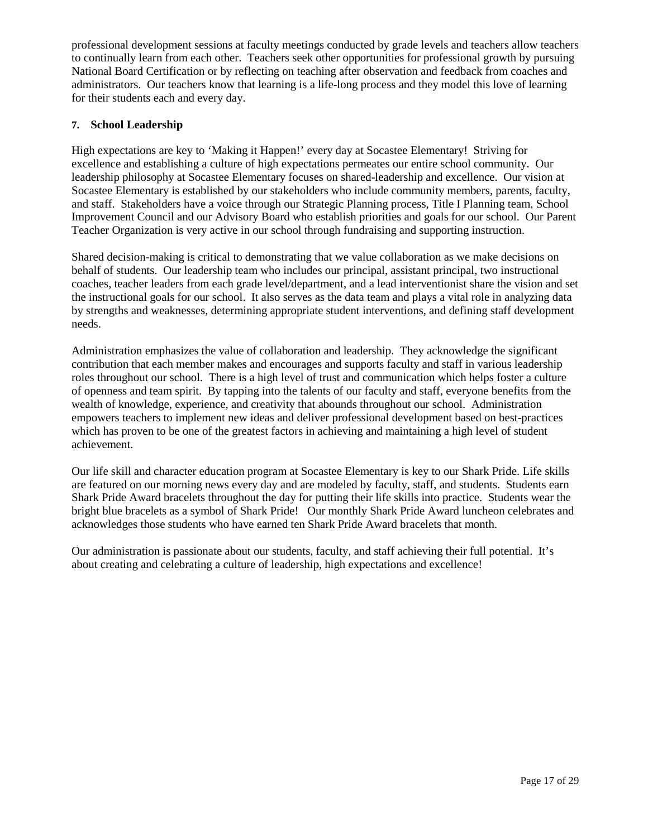professional development sessions at faculty meetings conducted by grade levels and teachers allow teachers to continually learn from each other. Teachers seek other opportunities for professional growth by pursuing National Board Certification or by reflecting on teaching after observation and feedback from coaches and administrators. Our teachers know that learning is a life-long process and they model this love of learning for their students each and every day.

### **7. School Leadership**

High expectations are key to 'Making it Happen!' every day at Socastee Elementary! Striving for excellence and establishing a culture of high expectations permeates our entire school community. Our leadership philosophy at Socastee Elementary focuses on shared-leadership and excellence. Our vision at Socastee Elementary is established by our stakeholders who include community members, parents, faculty, and staff. Stakeholders have a voice through our Strategic Planning process, Title I Planning team, School Improvement Council and our Advisory Board who establish priorities and goals for our school. Our Parent Teacher Organization is very active in our school through fundraising and supporting instruction.

Shared decision-making is critical to demonstrating that we value collaboration as we make decisions on behalf of students. Our leadership team who includes our principal, assistant principal, two instructional coaches, teacher leaders from each grade level/department, and a lead interventionist share the vision and set the instructional goals for our school. It also serves as the data team and plays a vital role in analyzing data by strengths and weaknesses, determining appropriate student interventions, and defining staff development needs.

Administration emphasizes the value of collaboration and leadership. They acknowledge the significant contribution that each member makes and encourages and supports faculty and staff in various leadership roles throughout our school. There is a high level of trust and communication which helps foster a culture of openness and team spirit. By tapping into the talents of our faculty and staff, everyone benefits from the wealth of knowledge, experience, and creativity that abounds throughout our school. Administration empowers teachers to implement new ideas and deliver professional development based on best-practices which has proven to be one of the greatest factors in achieving and maintaining a high level of student achievement.

Our life skill and character education program at Socastee Elementary is key to our Shark Pride. Life skills are featured on our morning news every day and are modeled by faculty, staff, and students. Students earn Shark Pride Award bracelets throughout the day for putting their life skills into practice. Students wear the bright blue bracelets as a symbol of Shark Pride! Our monthly Shark Pride Award luncheon celebrates and acknowledges those students who have earned ten Shark Pride Award bracelets that month.

Our administration is passionate about our students, faculty, and staff achieving their full potential. It's about creating and celebrating a culture of leadership, high expectations and excellence!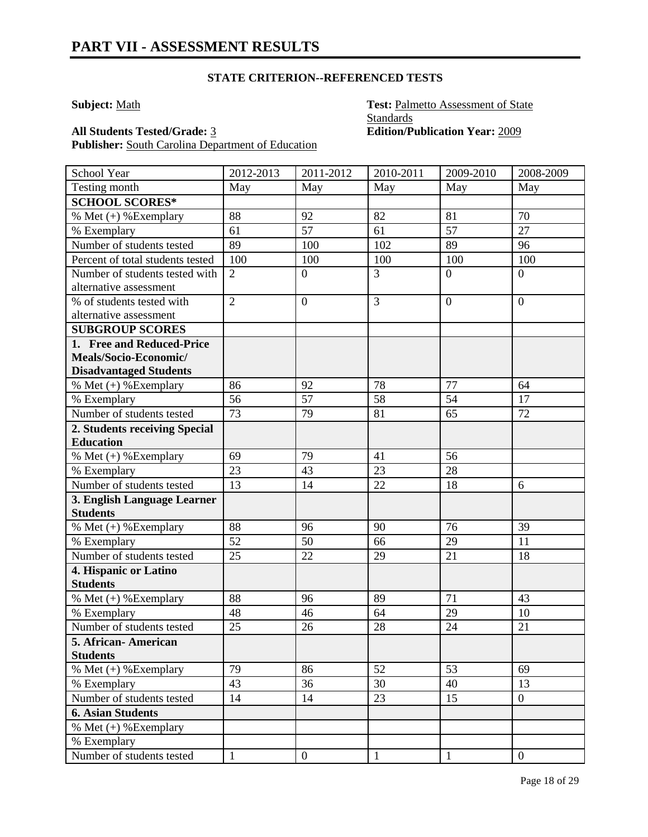**Subject:** Math **Test:** Palmetto Assessment of State **Standards All Students Tested/Grade:** 3 **Edition/Publication Year:** 2009

Publisher: South Carolina Department of Education

| School Year                                       | 2012-2013      | 2011-2012        | 2010-2011       | 2009-2010        | 2008-2009      |
|---------------------------------------------------|----------------|------------------|-----------------|------------------|----------------|
| Testing month                                     | May            | May              | May             | May              | May            |
| <b>SCHOOL SCORES*</b>                             |                |                  |                 |                  |                |
| % Met $(+)$ % Exemplary                           | 88             | 92               | 82              | 81               | 70             |
| % Exemplary                                       | 61             | $\overline{57}$  | 61              | 57               | 27             |
| Number of students tested                         | 89             | 100              | 102             | 89               | 96             |
| Percent of total students tested                  | 100            | 100              | 100             | 100              | 100            |
| Number of students tested with                    | $\overline{2}$ | $\overline{0}$   | $\overline{3}$  | $\overline{0}$   | $\overline{0}$ |
| alternative assessment                            |                |                  |                 |                  |                |
| $\frac{9}{6}$ of students tested with             | $\overline{2}$ | $\boldsymbol{0}$ | 3               | $\boldsymbol{0}$ | $\overline{0}$ |
| alternative assessment                            |                |                  |                 |                  |                |
| <b>SUBGROUP SCORES</b>                            |                |                  |                 |                  |                |
| 1. Free and Reduced-Price                         |                |                  |                 |                  |                |
| Meals/Socio-Economic/                             |                |                  |                 |                  |                |
| <b>Disadvantaged Students</b>                     |                |                  |                 |                  |                |
| % Met $(+)$ % Exemplary                           | 86             | 92               | 78              | 77               | 64             |
| % Exemplary                                       | 56             | 57               | $\overline{58}$ | 54               | 17             |
| Number of students tested                         | 73             | 79               | 81              | 65               | 72             |
| 2. Students receiving Special<br><b>Education</b> |                |                  |                 |                  |                |
| % Met (+) % Exemplary                             | 69             | 79               | 41              | 56               |                |
| % Exemplary                                       | 23             | 43               | 23              | 28               |                |
| Number of students tested                         | 13             | 14               | 22              | 18               | 6              |
| 3. English Language Learner                       |                |                  |                 |                  |                |
| <b>Students</b>                                   |                |                  |                 |                  |                |
| % Met $(+)$ % Exemplary                           | 88             | 96               | 90              | 76               | 39             |
| % Exemplary                                       | 52             | 50               | 66              | 29               | 11             |
| Number of students tested                         | 25             | 22               | 29              | 21               | 18             |
| 4. Hispanic or Latino                             |                |                  |                 |                  |                |
| <b>Students</b>                                   |                |                  |                 |                  |                |
| % Met $(+)$ % Exemplary                           | 88             | 96               | 89              | 71               | 43             |
| % Exemplary                                       | 48             | 46               | 64              | 29               | 10             |
| Number of students tested                         | 25             | 26               | 28              | 24               | 21             |
| 5. African- American                              |                |                  |                 |                  |                |
| <b>Students</b>                                   |                |                  |                 |                  |                |
| % Met (+) % Exemplary                             | 79             | 86               | 52              | 53               | 69             |
| % Exemplary                                       | 43             | 36               | 30              | 40               | 13             |
| Number of students tested                         | 14             | 14               | 23              | 15               | $\overline{0}$ |
| <b>6. Asian Students</b>                          |                |                  |                 |                  |                |
| % Met $(+)$ % Exemplary                           |                |                  |                 |                  |                |
| % Exemplary                                       |                |                  |                 |                  |                |
| Number of students tested                         | $\mathbf{1}$   | $\overline{0}$   | $\mathbf{1}$    | $\mathbf{1}$     | $\mathbf{0}$   |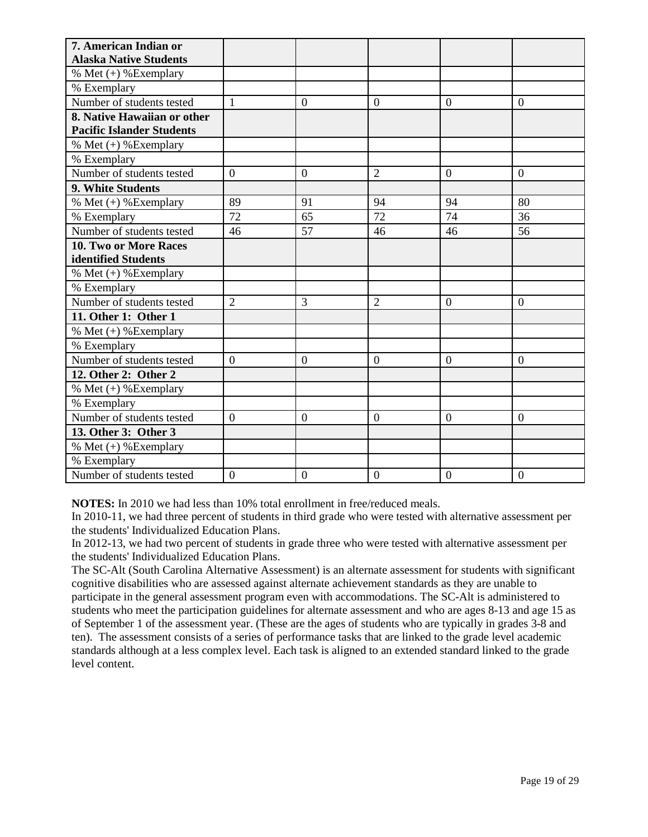| 7. American Indian or            |                  |                |                  |                |                  |
|----------------------------------|------------------|----------------|------------------|----------------|------------------|
| <b>Alaska Native Students</b>    |                  |                |                  |                |                  |
| % Met $(+)$ % Exemplary          |                  |                |                  |                |                  |
| % Exemplary                      |                  |                |                  |                |                  |
| Number of students tested        | $\mathbf{1}$     | $\Omega$       | $\theta$         | $\Omega$       | $\overline{0}$   |
| 8. Native Hawaiian or other      |                  |                |                  |                |                  |
| <b>Pacific Islander Students</b> |                  |                |                  |                |                  |
| % Met $(+)$ % Exemplary          |                  |                |                  |                |                  |
| % Exemplary                      |                  |                |                  |                |                  |
| Number of students tested        | $\overline{0}$   | $\overline{0}$ | $\overline{2}$   | $\overline{0}$ | $\overline{0}$   |
| 9. White Students                |                  |                |                  |                |                  |
| % Met $(+)$ % Exemplary          | 89               | 91             | 94               | 94             | 80               |
| % Exemplary                      | 72               | 65             | 72               | 74             | 36               |
| Number of students tested        | 46               | 57             | 46               | 46             | 56               |
| 10. Two or More Races            |                  |                |                  |                |                  |
| identified Students              |                  |                |                  |                |                  |
| % Met $(+)$ % Exemplary          |                  |                |                  |                |                  |
| % Exemplary                      |                  |                |                  |                |                  |
| Number of students tested        | $\overline{2}$   | 3              | $\overline{2}$   | $\overline{0}$ | $\overline{0}$   |
| 11. Other 1: Other 1             |                  |                |                  |                |                  |
| % Met $(+)$ % Exemplary          |                  |                |                  |                |                  |
| % Exemplary                      |                  |                |                  |                |                  |
| Number of students tested        | $\overline{0}$   | $\overline{0}$ | $\overline{0}$   | $\overline{0}$ | $\overline{0}$   |
| 12. Other 2: Other 2             |                  |                |                  |                |                  |
| % Met $(+)$ % Exemplary          |                  |                |                  |                |                  |
| % Exemplary                      |                  |                |                  |                |                  |
| Number of students tested        | $\overline{0}$   | $\overline{0}$ | $\overline{0}$   | $\theta$       | $\Omega$         |
| 13. Other 3: Other 3             |                  |                |                  |                |                  |
| % Met (+) % Exemplary            |                  |                |                  |                |                  |
| % Exemplary                      |                  |                |                  |                |                  |
| Number of students tested        | $\boldsymbol{0}$ | $\overline{0}$ | $\boldsymbol{0}$ | $\overline{0}$ | $\boldsymbol{0}$ |

**NOTES:** In 2010 we had less than 10% total enrollment in free/reduced meals.

In 2010-11, we had three percent of students in third grade who were tested with alternative assessment per the students' Individualized Education Plans.

In 2012-13, we had two percent of students in grade three who were tested with alternative assessment per the students' Individualized Education Plans.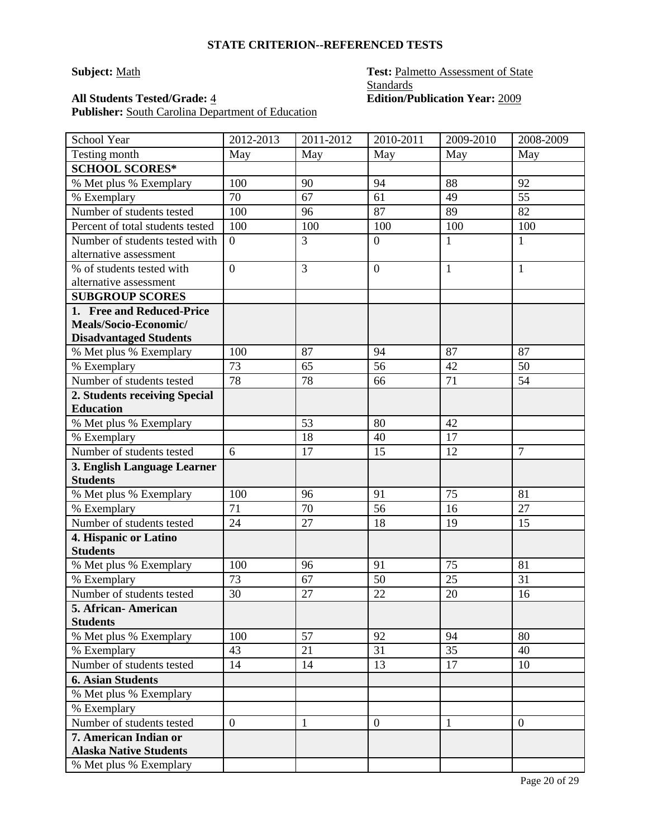Publisher: South Carolina Department of Education

### **Subject:** Math **Test:** Palmetto Assessment of State **Standards All Students Tested/Grade:** 4 **Edition/Publication Year:** 2009

| School Year                                              | 2012-2013      | 2011-2012 | 2010-2011        | 2009-2010    | 2008-2009      |
|----------------------------------------------------------|----------------|-----------|------------------|--------------|----------------|
| Testing month                                            | May            | May       | May              | May          | May            |
| <b>SCHOOL SCORES*</b>                                    |                |           |                  |              |                |
| % Met plus % Exemplary                                   | 100            | 90        | 94               | 88           | 92             |
| % Exemplary                                              | 70             | 67        | 61               | 49           | 55             |
| Number of students tested                                | 100            | 96        | 87               | 89           | 82             |
| Percent of total students tested                         | 100            | 100       | 100              | 100          | 100            |
| Number of students tested with<br>alternative assessment | $\overline{0}$ | 3         | $\boldsymbol{0}$ | 1            | 1              |
| % of students tested with<br>alternative assessment      | $\overline{0}$ | 3         | $\overline{0}$   | $\mathbf{1}$ | 1              |
| <b>SUBGROUP SCORES</b>                                   |                |           |                  |              |                |
| 1. Free and Reduced-Price                                |                |           |                  |              |                |
| Meals/Socio-Economic/<br><b>Disadvantaged Students</b>   |                |           |                  |              |                |
| % Met plus % Exemplary                                   | 100            | 87        | 94               | 87           | 87             |
| % Exemplary                                              | 73             | 65        | 56               | 42           | 50             |
| Number of students tested                                | 78             | 78        | 66               | 71           | 54             |
| 2. Students receiving Special<br><b>Education</b>        |                |           |                  |              |                |
| % Met plus % Exemplary                                   |                | 53        | 80               | 42           |                |
| % Exemplary                                              |                | 18        | 40               | 17           |                |
| Number of students tested                                | 6              | 17        | 15               | 12           | $\overline{7}$ |
| 3. English Language Learner                              |                |           |                  |              |                |
| <b>Students</b>                                          |                |           |                  |              |                |
| % Met plus % Exemplary                                   | 100            | 96        | 91               | 75           | 81             |
| % Exemplary                                              | 71             | 70        | 56               | 16           | 27             |
| Number of students tested                                | 24             | 27        | 18               | 19           | 15             |
| 4. Hispanic or Latino<br><b>Students</b>                 |                |           |                  |              |                |
| % Met plus % Exemplary                                   | 100            | 96        | 91               | 75           | 81             |
| % Exemplary                                              | 73             | 67        | 50               | 25           | 31             |
| Number of students tested                                | 30             | 27        | 22               | 20           | 16             |
| 5. African- American<br><b>Students</b>                  |                |           |                  |              |                |
| % Met plus % Exemplary                                   | 100            | 57        | 92               | 94           | 80             |
| % Exemplary                                              | 43             | 21        | 31               | 35           | 40             |
| Number of students tested                                | 14             | 14        | 13               | 17           | 10             |
| <b>6. Asian Students</b>                                 |                |           |                  |              |                |
| % Met plus % Exemplary                                   |                |           |                  |              |                |
| % Exemplary                                              |                |           |                  |              |                |
| Number of students tested                                | $\overline{0}$ | 1         | $\overline{0}$   | 1            | $\mathbf{0}$   |
| 7. American Indian or<br><b>Alaska Native Students</b>   |                |           |                  |              |                |
| % Met plus % Exemplary                                   |                |           |                  |              |                |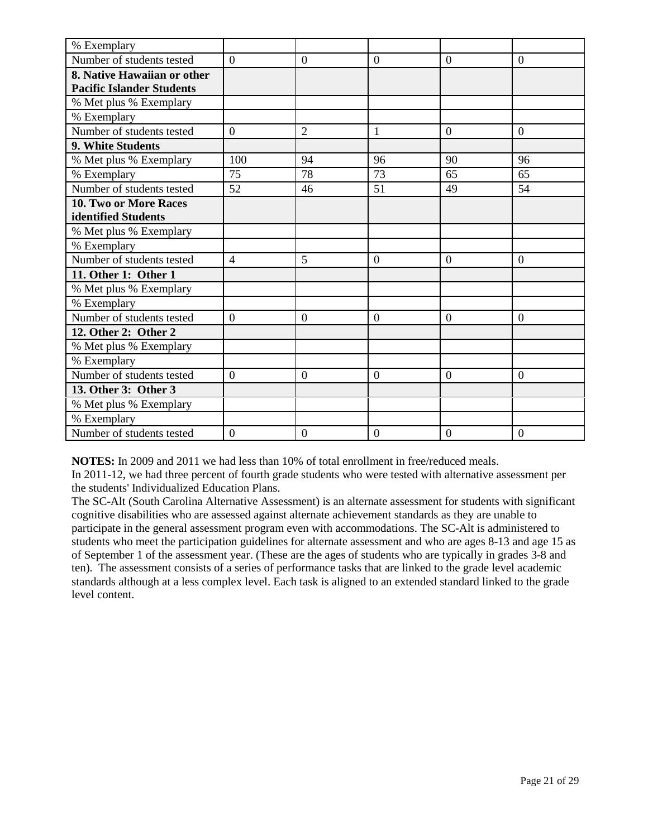| % Exemplary                      |                |                |                |                |                  |
|----------------------------------|----------------|----------------|----------------|----------------|------------------|
| Number of students tested        | $\overline{0}$ | $\overline{0}$ | $\overline{0}$ | $\overline{0}$ | $\overline{0}$   |
| 8. Native Hawaiian or other      |                |                |                |                |                  |
| <b>Pacific Islander Students</b> |                |                |                |                |                  |
| % Met plus % Exemplary           |                |                |                |                |                  |
| % Exemplary                      |                |                |                |                |                  |
| Number of students tested        | $\Omega$       | $\overline{2}$ | 1              | $\Omega$       | $\theta$         |
| 9. White Students                |                |                |                |                |                  |
| % Met plus % Exemplary           | 100            | 94             | 96             | 90             | 96               |
| % Exemplary                      | 75             | 78             | 73             | 65             | 65               |
| Number of students tested        | 52             | 46             | 51             | 49             | 54               |
| <b>10. Two or More Races</b>     |                |                |                |                |                  |
| identified Students              |                |                |                |                |                  |
| % Met plus % Exemplary           |                |                |                |                |                  |
| % Exemplary                      |                |                |                |                |                  |
| Number of students tested        | $\overline{4}$ | 5              | $\overline{0}$ | $\overline{0}$ | $\overline{0}$   |
| 11. Other 1: Other 1             |                |                |                |                |                  |
| % Met plus % Exemplary           |                |                |                |                |                  |
| % Exemplary                      |                |                |                |                |                  |
| Number of students tested        | $\overline{0}$ | $\mathbf{0}$   | $\theta$       | $\overline{0}$ | $\overline{0}$   |
| 12. Other 2: Other 2             |                |                |                |                |                  |
| % Met plus % Exemplary           |                |                |                |                |                  |
| % Exemplary                      |                |                |                |                |                  |
| Number of students tested        | $\overline{0}$ | $\overline{0}$ | $\theta$       | $\Omega$       | $\overline{0}$   |
| 13. Other 3: Other 3             |                |                |                |                |                  |
| % Met plus % Exemplary           |                |                |                |                |                  |
| % Exemplary                      |                |                |                |                |                  |
| Number of students tested        | $\overline{0}$ | $\mathbf{0}$   | $\overline{0}$ | $\overline{0}$ | $\boldsymbol{0}$ |

**NOTES:** In 2009 and 2011 we had less than 10% of total enrollment in free/reduced meals.

In 2011-12, we had three percent of fourth grade students who were tested with alternative assessment per the students' Individualized Education Plans.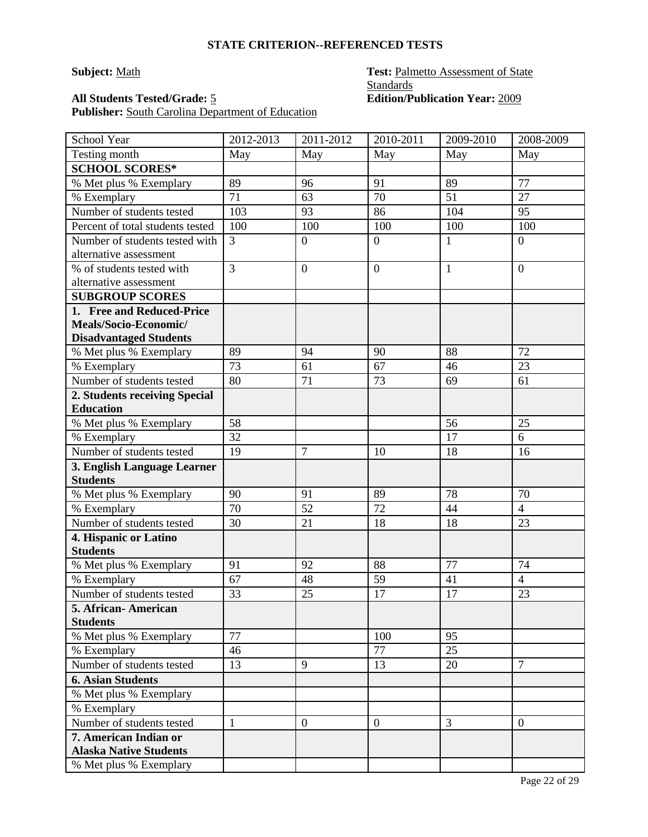Publisher: South Carolina Department of Education

### **Subject:** Math **Test:** Palmetto Assessment of State **Standards All Students Tested/Grade:** 5 **Edition/Publication Year:** 2009

| School Year                              | 2012-2013      | 2011-2012        | 2010-2011        | 2009-2010       | 2008-2009            |
|------------------------------------------|----------------|------------------|------------------|-----------------|----------------------|
| Testing month                            | May            | May              | May              | May             | May                  |
| <b>SCHOOL SCORES*</b>                    |                |                  |                  |                 |                      |
| % Met plus % Exemplary                   | 89             | 96               | 91               | 89              | 77                   |
| % Exemplary                              | 71             | 63               | 70               | $\overline{51}$ | $\overline{27}$      |
| Number of students tested                | 103            | 93               | 86               | 104             | 95                   |
| Percent of total students tested         | 100            | 100              | 100              | 100             | 100                  |
| Number of students tested with           | 3              | $\boldsymbol{0}$ | $\overline{0}$   | $\mathbf{1}$    | $\overline{0}$       |
| alternative assessment                   |                |                  |                  |                 |                      |
| % of students tested with                | $\overline{3}$ | $\boldsymbol{0}$ | $\boldsymbol{0}$ | $\mathbf{1}$    | $\overline{0}$       |
| alternative assessment                   |                |                  |                  |                 |                      |
| <b>SUBGROUP SCORES</b>                   |                |                  |                  |                 |                      |
| 1. Free and Reduced-Price                |                |                  |                  |                 |                      |
| Meals/Socio-Economic/                    |                |                  |                  |                 |                      |
| <b>Disadvantaged Students</b>            |                |                  |                  |                 |                      |
| % Met plus % Exemplary                   | 89             | 94               | 90               | 88              | 72                   |
| % Exemplary                              | 73             | 61               | 67               | 46              | 23                   |
| Number of students tested                | 80             | 71               | 73               | 69              | 61                   |
| 2. Students receiving Special            |                |                  |                  |                 |                      |
| <b>Education</b>                         |                |                  |                  |                 |                      |
| % Met plus % Exemplary                   | 58             |                  |                  | 56              | 25                   |
| % Exemplary                              | 32             |                  |                  | 17              | 6                    |
| Number of students tested                | 19             | 7                | 10               | 18              | 16                   |
| 3. English Language Learner              |                |                  |                  |                 |                      |
| <b>Students</b>                          |                |                  |                  |                 |                      |
| % Met plus % Exemplary                   | 90<br>70       | 91<br>52         | 89<br>72         | 78              | 70<br>$\overline{4}$ |
| % Exemplary                              |                |                  |                  | 44              |                      |
| Number of students tested                | 30             | 21               | 18               | 18              | 23                   |
| 4. Hispanic or Latino<br><b>Students</b> |                |                  |                  |                 |                      |
| % Met plus % Exemplary                   | 91             | 92               | 88               | 77              | 74                   |
| % Exemplary                              | 67             | 48               | 59               | 41              | $\overline{4}$       |
| Number of students tested                | 33             | 25               | 17               | 17              | 23                   |
| 5. African- American                     |                |                  |                  |                 |                      |
| <b>Students</b>                          |                |                  |                  |                 |                      |
| % Met plus % Exemplary                   | 77             |                  | 100              | 95              |                      |
| % Exemplary                              | 46             |                  | 77               | 25              |                      |
| Number of students tested                | 13             | 9                | 13               | 20              | $\overline{7}$       |
| <b>6. Asian Students</b>                 |                |                  |                  |                 |                      |
| % Met plus % Exemplary                   |                |                  |                  |                 |                      |
| % Exemplary                              |                |                  |                  |                 |                      |
| Number of students tested                | $\mathbf{1}$   | $\boldsymbol{0}$ | $\boldsymbol{0}$ | 3               | $\mathbf{0}$         |
| 7. American Indian or                    |                |                  |                  |                 |                      |
| <b>Alaska Native Students</b>            |                |                  |                  |                 |                      |
| % Met plus % Exemplary                   |                |                  |                  |                 |                      |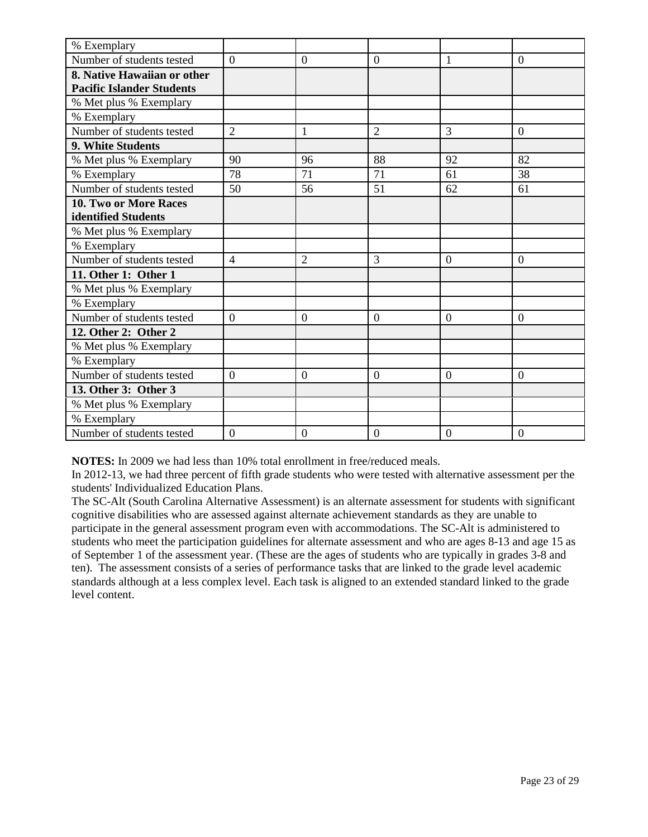| % Exemplary                      |                  |                |                |                |                  |
|----------------------------------|------------------|----------------|----------------|----------------|------------------|
| Number of students tested        | $\overline{0}$   | $\overline{0}$ | $\overline{0}$ | 1              | $\overline{0}$   |
| 8. Native Hawaiian or other      |                  |                |                |                |                  |
| <b>Pacific Islander Students</b> |                  |                |                |                |                  |
| % Met plus % Exemplary           |                  |                |                |                |                  |
| % Exemplary                      |                  |                |                |                |                  |
| Number of students tested        | $\overline{2}$   | 1              | $\overline{2}$ | 3              | $\theta$         |
| 9. White Students                |                  |                |                |                |                  |
| % Met plus % Exemplary           | 90               | 96             | 88             | 92             | 82               |
| % Exemplary                      | 78               | 71             | 71             | 61             | 38               |
| Number of students tested        | 50               | 56             | 51             | 62             | 61               |
| <b>10. Two or More Races</b>     |                  |                |                |                |                  |
| identified Students              |                  |                |                |                |                  |
| % Met plus % Exemplary           |                  |                |                |                |                  |
| % Exemplary                      |                  |                |                |                |                  |
| Number of students tested        | $\overline{4}$   | $\overline{2}$ | 3              | $\theta$       | $\theta$         |
| 11. Other 1: Other 1             |                  |                |                |                |                  |
| % Met plus % Exemplary           |                  |                |                |                |                  |
| % Exemplary                      |                  |                |                |                |                  |
| Number of students tested        | $\boldsymbol{0}$ | $\mathbf{0}$   | $\theta$       | $\overline{0}$ | $\overline{0}$   |
| 12. Other 2: Other 2             |                  |                |                |                |                  |
| % Met plus % Exemplary           |                  |                |                |                |                  |
| % Exemplary                      |                  |                |                |                |                  |
| Number of students tested        | $\overline{0}$   | $\overline{0}$ | $\overline{0}$ | $\overline{0}$ | $\overline{0}$   |
| 13. Other 3: Other 3             |                  |                |                |                |                  |
| % Met plus % Exemplary           |                  |                |                |                |                  |
| % Exemplary                      |                  |                |                |                |                  |
| Number of students tested        | $\overline{0}$   | $\mathbf{0}$   | $\overline{0}$ | $\overline{0}$ | $\boldsymbol{0}$ |

**NOTES:** In 2009 we had less than 10% total enrollment in free/reduced meals.

In 2012-13, we had three percent of fifth grade students who were tested with alternative assessment per the students' Individualized Education Plans.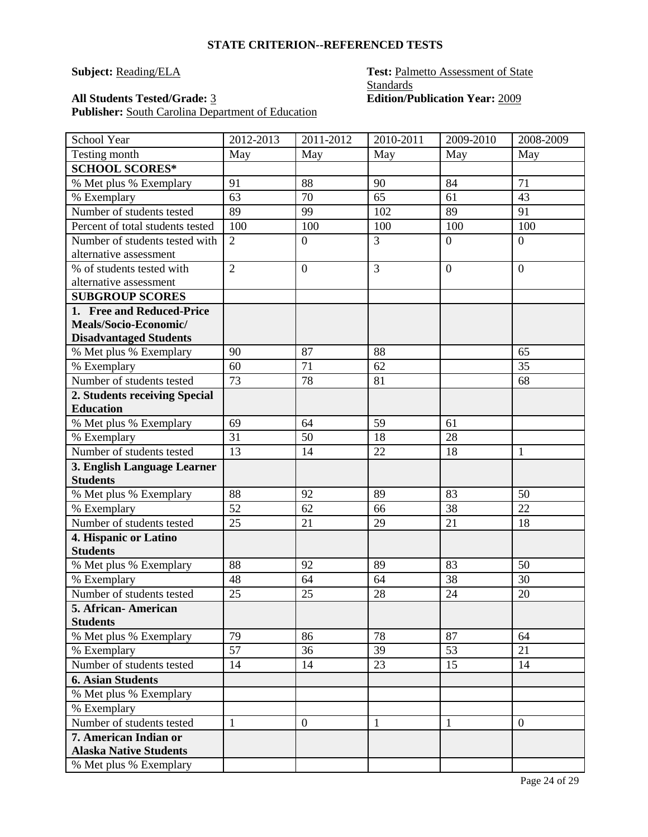Publisher: South Carolina Department of Education

### **Subject: Reading/ELA Test: Palmetto Assessment of State Standards All Students Tested/Grade:** 3 **Edition/Publication Year:** 2009

| School Year                                              | 2012-2013      | 2011-2012        | 2010-2011    | 2009-2010      | 2008-2009        |
|----------------------------------------------------------|----------------|------------------|--------------|----------------|------------------|
| Testing month                                            | May            | May              | May          | May            | May              |
| <b>SCHOOL SCORES*</b>                                    |                |                  |              |                |                  |
| % Met plus % Exemplary                                   | 91             | 88               | 90           | 84             | 71               |
| % Exemplary                                              | 63             | 70               | 65           | 61             | 43               |
| Number of students tested                                | 89             | 99               | 102          | 89             | 91               |
| Percent of total students tested                         | 100            | 100              | 100          | 100            | 100              |
| Number of students tested with<br>alternative assessment | $\overline{2}$ | $\boldsymbol{0}$ | 3            | $\overline{0}$ | $\boldsymbol{0}$ |
| % of students tested with<br>alternative assessment      | $\overline{2}$ | $\boldsymbol{0}$ | 3            | $\overline{0}$ | $\overline{0}$   |
| <b>SUBGROUP SCORES</b>                                   |                |                  |              |                |                  |
| 1. Free and Reduced-Price                                |                |                  |              |                |                  |
| Meals/Socio-Economic/<br><b>Disadvantaged Students</b>   |                |                  |              |                |                  |
| % Met plus % Exemplary                                   | 90             | 87               | 88           |                | 65               |
| % Exemplary                                              | 60             | 71               | 62           |                | $\overline{35}$  |
| Number of students tested                                | 73             | 78               | 81           |                | 68               |
| 2. Students receiving Special                            |                |                  |              |                |                  |
| <b>Education</b>                                         |                |                  |              |                |                  |
| % Met plus % Exemplary                                   | 69             | 64               | 59           | 61             |                  |
| % Exemplary                                              | 31             | 50               | 18           | 28             |                  |
| Number of students tested                                | 13             | 14               | 22           | 18             | $\mathbf{1}$     |
| 3. English Language Learner                              |                |                  |              |                |                  |
| <b>Students</b>                                          |                |                  |              |                |                  |
| % Met plus % Exemplary                                   | 88             | 92               | 89           | 83             | 50               |
| % Exemplary                                              | 52             | 62               | 66           | 38             | 22               |
| Number of students tested                                | 25             | 21               | 29           | 21             | 18               |
| 4. Hispanic or Latino<br><b>Students</b>                 |                |                  |              |                |                  |
| % Met plus % Exemplary                                   | 88             | 92               | 89           | 83             | 50               |
| % Exemplary                                              | 48             | 64               | 64           | 38             | 30               |
| Number of students tested                                | 25             | 25               | 28           | 24             | 20               |
| 5. African- American<br><b>Students</b>                  |                |                  |              |                |                  |
| % Met plus % Exemplary                                   | 79             | 86               | 78           | 87             | 64               |
| % Exemplary                                              | 57             | 36               | 39           | 53             | 21               |
| Number of students tested                                | 14             | 14               | 23           | 15             | 14               |
| <b>6. Asian Students</b>                                 |                |                  |              |                |                  |
| % Met plus % Exemplary                                   |                |                  |              |                |                  |
| % Exemplary                                              |                |                  |              |                |                  |
| Number of students tested                                | $\mathbf{1}$   | $\boldsymbol{0}$ | $\mathbf{1}$ | 1              | $\mathbf{0}$     |
| 7. American Indian or                                    |                |                  |              |                |                  |
| <b>Alaska Native Students</b>                            |                |                  |              |                |                  |
| % Met plus % Exemplary                                   |                |                  |              |                |                  |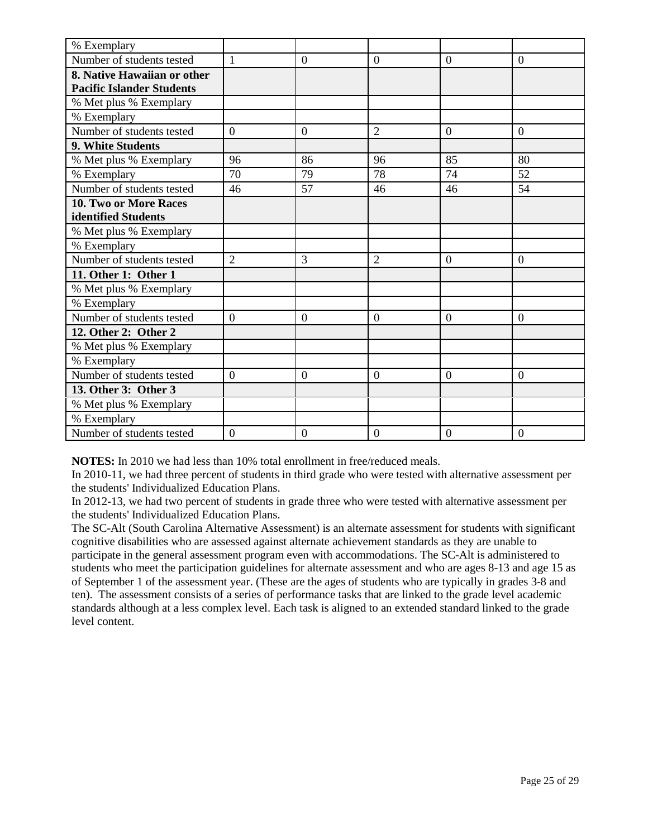| % Exemplary                      |                |                |                |                |                  |
|----------------------------------|----------------|----------------|----------------|----------------|------------------|
| Number of students tested        | $\mathbf{1}$   | $\overline{0}$ | $\overline{0}$ | $\overline{0}$ | $\overline{0}$   |
| 8. Native Hawaiian or other      |                |                |                |                |                  |
| <b>Pacific Islander Students</b> |                |                |                |                |                  |
| % Met plus % Exemplary           |                |                |                |                |                  |
| % Exemplary                      |                |                |                |                |                  |
| Number of students tested        | $\Omega$       | $\theta$       | $\overline{2}$ | $\Omega$       | $\overline{0}$   |
| 9. White Students                |                |                |                |                |                  |
| % Met plus % Exemplary           | 96             | 86             | 96             | 85             | 80               |
| % Exemplary                      | 70             | 79             | 78             | 74             | 52               |
| Number of students tested        | 46             | 57             | 46             | 46             | 54               |
| <b>10. Two or More Races</b>     |                |                |                |                |                  |
| identified Students              |                |                |                |                |                  |
| % Met plus % Exemplary           |                |                |                |                |                  |
| % Exemplary                      |                |                |                |                |                  |
| Number of students tested        | $\overline{2}$ | 3              | $\overline{2}$ | $\overline{0}$ | $\overline{0}$   |
| 11. Other 1: Other 1             |                |                |                |                |                  |
| % Met plus % Exemplary           |                |                |                |                |                  |
| % Exemplary                      |                |                |                |                |                  |
| Number of students tested        | $\overline{0}$ | $\mathbf{0}$   | $\theta$       | $\overline{0}$ | $\overline{0}$   |
| 12. Other 2: Other 2             |                |                |                |                |                  |
| % Met plus % Exemplary           |                |                |                |                |                  |
| % Exemplary                      |                |                |                |                |                  |
| Number of students tested        | $\overline{0}$ | $\overline{0}$ | $\theta$       | $\Omega$       | $\overline{0}$   |
| 13. Other 3: Other 3             |                |                |                |                |                  |
| % Met plus % Exemplary           |                |                |                |                |                  |
| % Exemplary                      |                |                |                |                |                  |
| Number of students tested        | $\overline{0}$ | $\mathbf{0}$   | $\overline{0}$ | $\overline{0}$ | $\boldsymbol{0}$ |

**NOTES:** In 2010 we had less than 10% total enrollment in free/reduced meals.

In 2010-11, we had three percent of students in third grade who were tested with alternative assessment per the students' Individualized Education Plans.

In 2012-13, we had two percent of students in grade three who were tested with alternative assessment per the students' Individualized Education Plans.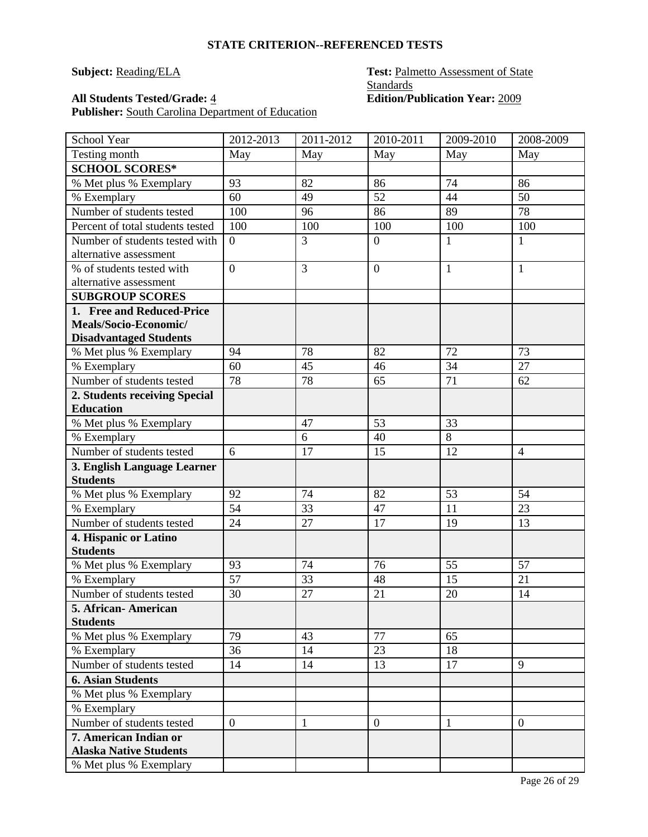### **All Students Tested/Grade:**  $\frac{4}{5}$

Publisher: South Carolina Department of Education

## **Subject: Reading/ELA Test: Palmetto Assessment of State Standards**<br> **Edition/Publication Year: 2009**

| School Year                                              | 2012-2013      | 2011-2012 | 2010-2011        | 2009-2010    | 2008-2009       |
|----------------------------------------------------------|----------------|-----------|------------------|--------------|-----------------|
| Testing month                                            | May            | May       | May              | May          | May             |
| <b>SCHOOL SCORES*</b>                                    |                |           |                  |              |                 |
| % Met plus % Exemplary                                   | 93             | 82        | 86               | 74           | 86              |
| % Exemplary                                              | 60             | 49        | 52               | 44           | 50              |
| Number of students tested                                | 100            | 96        | 86               | 89           | 78              |
| Percent of total students tested                         | 100            | 100       | 100              | 100          | 100             |
| Number of students tested with<br>alternative assessment | $\overline{0}$ | 3         | $\boldsymbol{0}$ | 1            | 1               |
| % of students tested with<br>alternative assessment      | $\overline{0}$ | 3         | $\overline{0}$   | $\mathbf{1}$ | 1               |
| <b>SUBGROUP SCORES</b>                                   |                |           |                  |              |                 |
| 1. Free and Reduced-Price                                |                |           |                  |              |                 |
| Meals/Socio-Economic/<br><b>Disadvantaged Students</b>   |                |           |                  |              |                 |
| % Met plus % Exemplary                                   | 94             | 78        | 82               | 72           | 73              |
| % Exemplary                                              | 60             | 45        | 46               | 34           | $\overline{27}$ |
| Number of students tested                                | 78             | 78        | 65               | 71           | 62              |
| 2. Students receiving Special                            |                |           |                  |              |                 |
| <b>Education</b>                                         |                |           |                  |              |                 |
| % Met plus % Exemplary                                   |                | 47        | 53               | 33           |                 |
| % Exemplary                                              |                | 6         | 40               | 8            |                 |
| Number of students tested                                | 6              | 17        | 15               | 12           | $\overline{4}$  |
| 3. English Language Learner                              |                |           |                  |              |                 |
| <b>Students</b>                                          |                |           |                  |              |                 |
| % Met plus % Exemplary                                   | 92             | 74        | 82               | 53           | 54              |
| % Exemplary<br>Number of students tested                 | 54             | 33        | 47               | 11           | 23              |
|                                                          | 24             | 27        | 17               | 19           | 13              |
| 4. Hispanic or Latino<br><b>Students</b>                 |                |           |                  |              |                 |
| % Met plus % Exemplary                                   | 93             | 74        | 76               | 55           | 57              |
| % Exemplary                                              | 57             | 33        | 48               | 15           | 21              |
| Number of students tested                                | 30             | 27        | 21               | 20           | 14              |
| 5. African- American<br><b>Students</b>                  |                |           |                  |              |                 |
| % Met plus % Exemplary                                   | 79             | 43        | 77               | 65           |                 |
| % Exemplary                                              | 36             | 14        | 23               | 18           |                 |
| Number of students tested                                | 14             | 14        | 13               | 17           | 9               |
| <b>6. Asian Students</b>                                 |                |           |                  |              |                 |
| % Met plus % Exemplary                                   |                |           |                  |              |                 |
| % Exemplary                                              |                |           |                  |              |                 |
| Number of students tested                                | $\overline{0}$ | 1         | $\overline{0}$   | 1            | $\mathbf{0}$    |
| 7. American Indian or<br><b>Alaska Native Students</b>   |                |           |                  |              |                 |
| % Met plus % Exemplary                                   |                |           |                  |              |                 |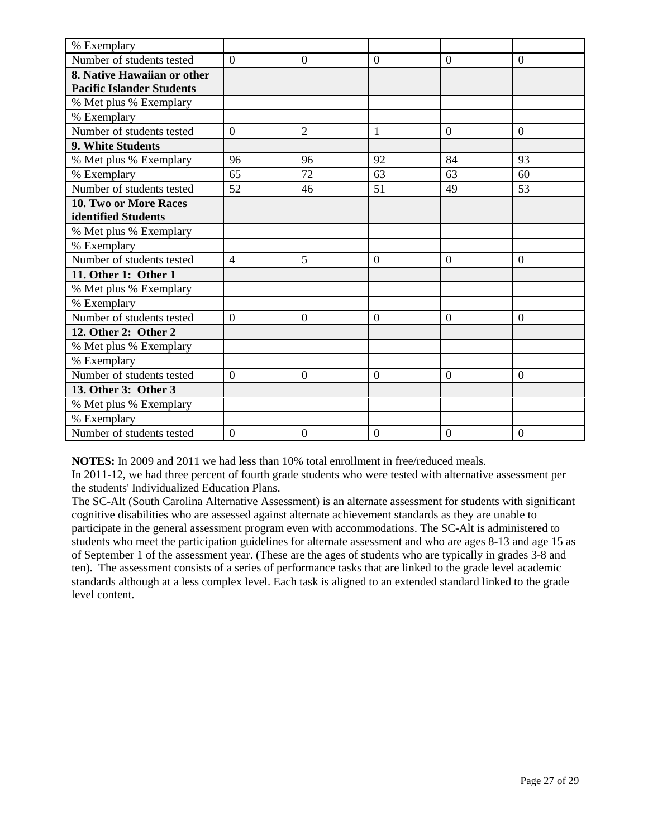| % Exemplary                      |                |                |                |                |                  |
|----------------------------------|----------------|----------------|----------------|----------------|------------------|
| Number of students tested        | $\overline{0}$ | $\overline{0}$ | $\overline{0}$ | $\overline{0}$ | $\overline{0}$   |
| 8. Native Hawaiian or other      |                |                |                |                |                  |
| <b>Pacific Islander Students</b> |                |                |                |                |                  |
| % Met plus % Exemplary           |                |                |                |                |                  |
| % Exemplary                      |                |                |                |                |                  |
| Number of students tested        | $\Omega$       | $\overline{2}$ | 1              | $\Omega$       | $\overline{0}$   |
| 9. White Students                |                |                |                |                |                  |
| % Met plus % Exemplary           | 96             | 96             | 92             | 84             | 93               |
| % Exemplary                      | 65             | 72             | 63             | 63             | 60               |
| Number of students tested        | 52             | 46             | 51             | 49             | 53               |
| <b>10. Two or More Races</b>     |                |                |                |                |                  |
| identified Students              |                |                |                |                |                  |
| % Met plus % Exemplary           |                |                |                |                |                  |
| % Exemplary                      |                |                |                |                |                  |
| Number of students tested        | $\overline{4}$ | 5              | $\overline{0}$ | $\overline{0}$ | $\overline{0}$   |
| 11. Other 1: Other 1             |                |                |                |                |                  |
| % Met plus % Exemplary           |                |                |                |                |                  |
| % Exemplary                      |                |                |                |                |                  |
| Number of students tested        | $\overline{0}$ | $\mathbf{0}$   | $\theta$       | $\overline{0}$ | $\overline{0}$   |
| 12. Other 2: Other 2             |                |                |                |                |                  |
| % Met plus % Exemplary           |                |                |                |                |                  |
| % Exemplary                      |                |                |                |                |                  |
| Number of students tested        | $\overline{0}$ | $\overline{0}$ | $\theta$       | $\Omega$       | $\overline{0}$   |
| 13. Other 3: Other 3             |                |                |                |                |                  |
| % Met plus % Exemplary           |                |                |                |                |                  |
| % Exemplary                      |                |                |                |                |                  |
| Number of students tested        | $\overline{0}$ | $\mathbf{0}$   | $\overline{0}$ | $\overline{0}$ | $\boldsymbol{0}$ |

**NOTES:** In 2009 and 2011 we had less than 10% total enrollment in free/reduced meals.

In 2011-12, we had three percent of fourth grade students who were tested with alternative assessment per the students' Individualized Education Plans.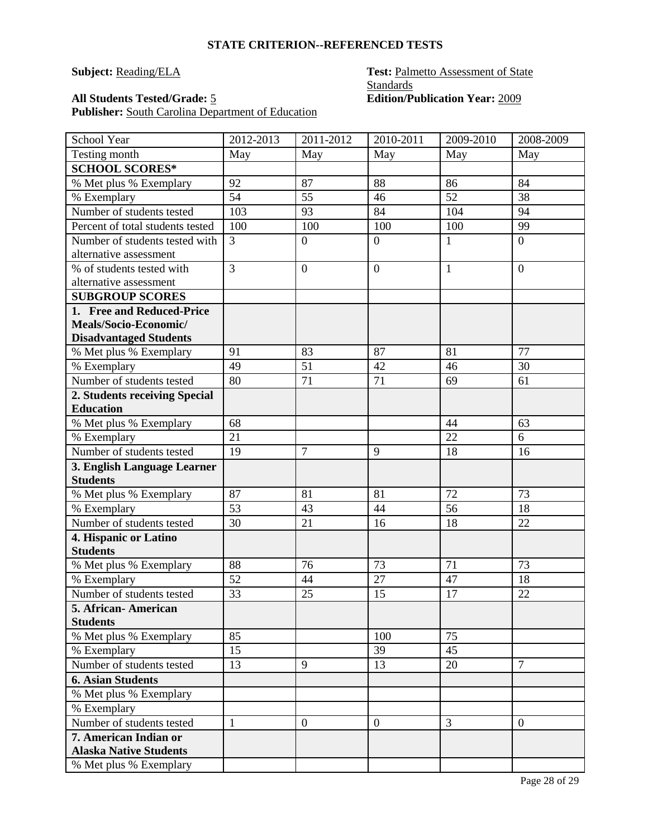### **All Students Tested/Grade:**  $\frac{5}{2}$

Publisher: South Carolina Department of Education

## **Subject: Reading/ELA Test: Palmetto Assessment of State Standards**<br> **Edition/Publication Year: 2009**

| School Year                                    | 2012-2013      | 2011-2012        | 2010-2011      | 2009-2010      | 2008-2009      |
|------------------------------------------------|----------------|------------------|----------------|----------------|----------------|
| Testing month                                  | May            | May              | May            | May            | May            |
| <b>SCHOOL SCORES*</b>                          |                |                  |                |                |                |
| % Met plus % Exemplary                         | 92             | 87               | 88             | 86             | 84             |
| % Exemplary                                    | 54             | 55               | 46             | 52             | 38             |
| Number of students tested                      | 103            | 93               | 84             | 104            | 94             |
| Percent of total students tested               | 100            | 100              | 100            | 100            | 99             |
| Number of students tested with                 | $\overline{3}$ | $\boldsymbol{0}$ | $\overline{0}$ | 1              | $\overline{0}$ |
| alternative assessment                         |                |                  |                |                |                |
| % of students tested with                      | $\overline{3}$ | $\boldsymbol{0}$ | $\overline{0}$ | 1              | $\overline{0}$ |
| alternative assessment                         |                |                  |                |                |                |
| <b>SUBGROUP SCORES</b>                         |                |                  |                |                |                |
| 1. Free and Reduced-Price                      |                |                  |                |                |                |
| Meals/Socio-Economic/                          |                |                  |                |                |                |
| <b>Disadvantaged Students</b>                  |                |                  |                |                |                |
| % Met plus % Exemplary                         | 91             | 83               | 87             | 81             | 77             |
| % Exemplary                                    | 49             | 51               | 42             | 46             | 30             |
| Number of students tested                      | 80             | 71               | 71             | 69             | 61             |
| 2. Students receiving Special                  |                |                  |                |                |                |
| <b>Education</b>                               | 68             |                  |                | 44             |                |
| % Met plus % Exemplary                         |                |                  |                |                | 63             |
| % Exemplary                                    | 21             |                  |                | 22             | 6              |
| Number of students tested                      | 19             | 7                | 9              | 18             | 16             |
| 3. English Language Learner<br><b>Students</b> |                |                  |                |                |                |
| % Met plus % Exemplary                         | 87             | 81               | 81             | 72             | 73             |
| % Exemplary                                    | 53             | 43               | 44             | 56             | 18             |
| Number of students tested                      | 30             | 21               | 16             | 18             | 22             |
| 4. Hispanic or Latino                          |                |                  |                |                |                |
| <b>Students</b>                                |                |                  |                |                |                |
| % Met plus % Exemplary                         | 88             | 76               | 73             | 71             | 73             |
| % Exemplary                                    | 52             | 44               | 27             | 47             | 18             |
| Number of students tested                      | 33             | 25               | 15             | 17             | 22             |
| 5. African-American                            |                |                  |                |                |                |
| <b>Students</b>                                |                |                  |                |                |                |
| % Met plus % Exemplary                         | 85             |                  | 100            | 75             |                |
| % Exemplary                                    | 15             |                  | 39             | 45             |                |
| Number of students tested                      | 13             | 9                | 13             | 20             | $\overline{7}$ |
| <b>6. Asian Students</b>                       |                |                  |                |                |                |
| % Met plus % Exemplary                         |                |                  |                |                |                |
| % Exemplary                                    |                |                  |                |                |                |
| Number of students tested                      | $\mathbf{1}$   | $\boldsymbol{0}$ | $\overline{0}$ | $\overline{3}$ | $\mathbf{0}$   |
| 7. American Indian or                          |                |                  |                |                |                |
| <b>Alaska Native Students</b>                  |                |                  |                |                |                |
| % Met plus % Exemplary                         |                |                  |                |                |                |